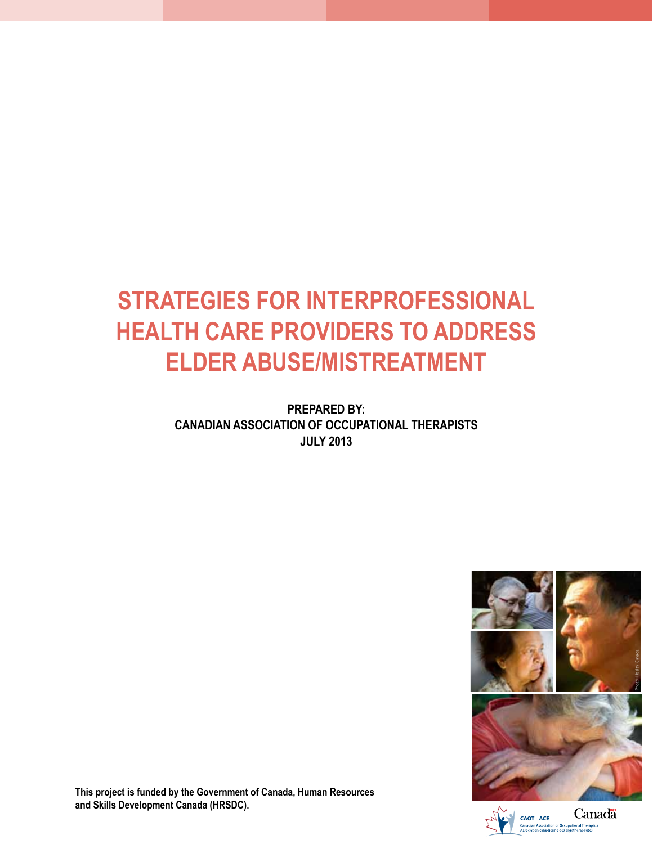# **STRATEGIES FOR INTERPROFESSIONAL HEALTH CARE PROVIDERS TO ADDRESS ELDER ABUSE/MISTREATMENT**

**PREPARED BY: CANADIAN ASSOCIATION OF OCCUPATIONAL THERAPISTS JULY 2013**



**This project is funded by the Government of Canada, Human Resources and Skills Development Canada (HRSDC).**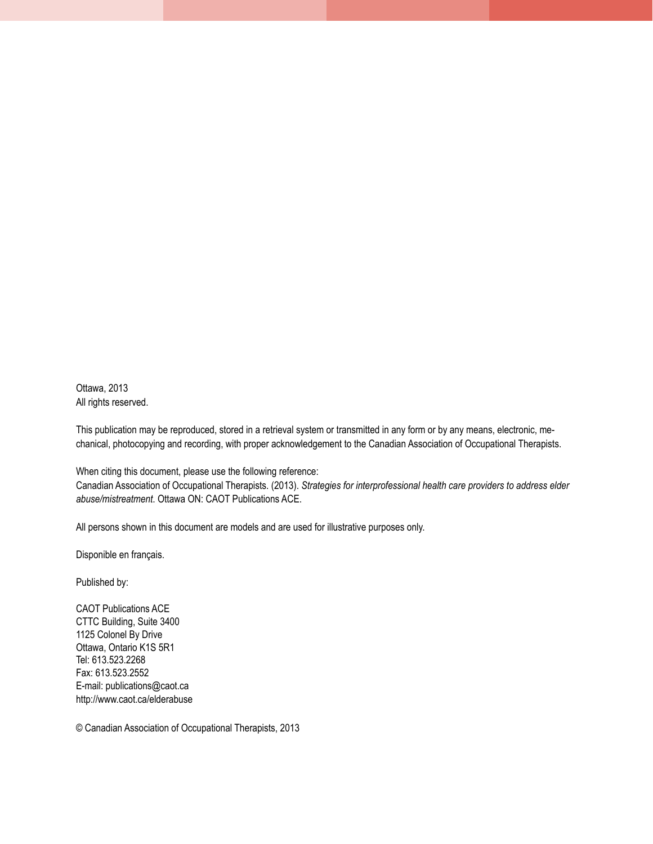Ottawa, 2013 All rights reserved.

This publication may be reproduced, stored in a retrieval system or transmitted in any form or by any means, electronic, mechanical, photocopying and recording, with proper acknowledgement to the Canadian Association of Occupational Therapists.

When citing this document, please use the following reference: Canadian Association of Occupational Therapists. (2013). *Strategies for interprofessional health care providers to address elder abuse/mistreatment*. Ottawa ON: CAOT Publications ACE.

All persons shown in this document are models and are used for illustrative purposes only.

Disponible en français.

Published by:

CAOT Publications ACE CTTC Building, Suite 3400 1125 Colonel By Drive Ottawa, Ontario K1S 5R1 Tel: 613.523.2268 Fax: 613.523.2552 E-mail: publications@caot.ca http://www.caot.ca/elderabuse

© Canadian Association of Occupational Therapists, 2013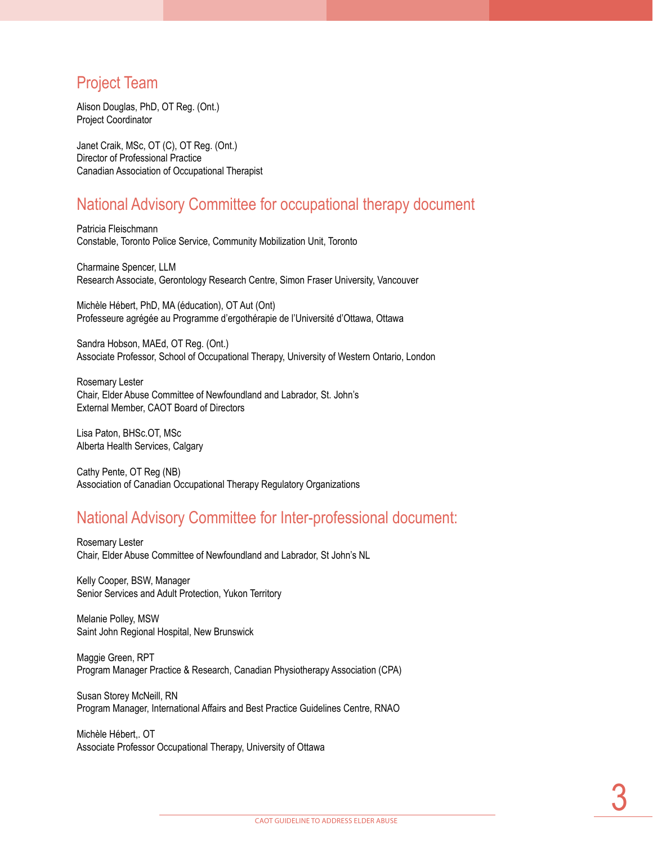### Project Team

Alison Douglas, PhD, OT Reg. (Ont.) Project Coordinator

Janet Craik, MSc, OT (C), OT Reg. (Ont.) Director of Professional Practice Canadian Association of Occupational Therapist

### National Advisory Committee for occupational therapy document

Patricia Fleischmann Constable, Toronto Police Service, Community Mobilization Unit, Toronto

Charmaine Spencer, LLM Research Associate, Gerontology Research Centre, Simon Fraser University, Vancouver

Michèle Hébert, PhD, MA (éducation), OT Aut (Ont) Professeure agrégée au Programme d'ergothérapie de l'Université d'Ottawa, Ottawa

Sandra Hobson, MAEd, OT Reg. (Ont.) Associate Professor, School of Occupational Therapy, University of Western Ontario, London

Rosemary Lester Chair, Elder Abuse Committee of Newfoundland and Labrador, St. John's External Member, CAOT Board of Directors

Lisa Paton, BHSc.OT, MSc Alberta Health Services, Calgary

Cathy Pente, OT Reg (NB) Association of Canadian Occupational Therapy Regulatory Organizations

### National Advisory Committee for Inter-professional document:

Rosemary Lester Chair, Elder Abuse Committee of Newfoundland and Labrador, St John's NL

Kelly Cooper, BSW, Manager Senior Services and Adult Protection, Yukon Territory

Melanie Polley, MSW Saint John Regional Hospital, New Brunswick

Maggie Green, RPT Program Manager Practice & Research, Canadian Physiotherapy Association (CPA)

Susan Storey McNeill, RN Program Manager, International Affairs and Best Practice Guidelines Centre, RNAO

Michèle Hébert,. OT Associate Professor Occupational Therapy, University of Ottawa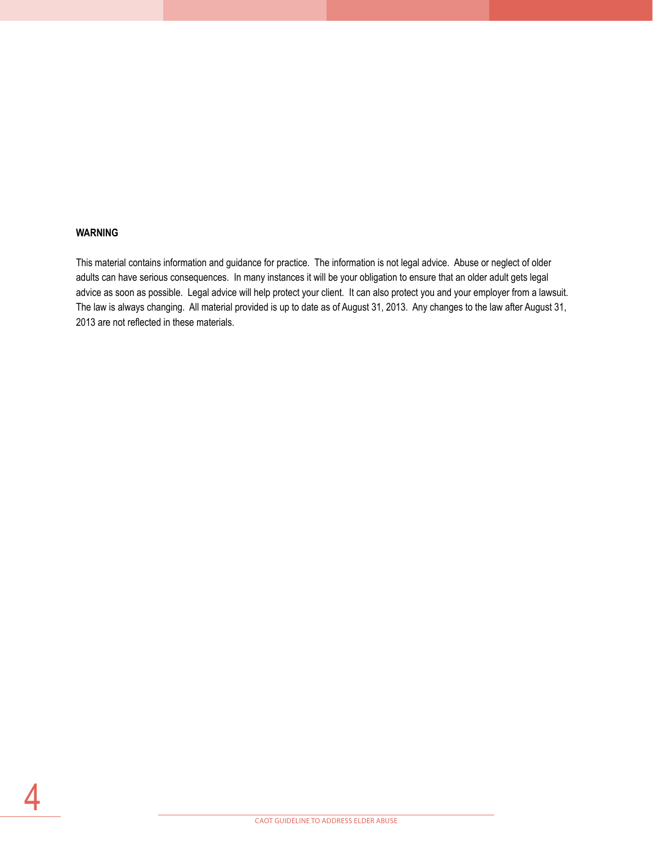### **WARNING**

4

This material contains information and guidance for practice. The information is not legal advice. Abuse or neglect of older adults can have serious consequences. In many instances it will be your obligation to ensure that an older adult gets legal advice as soon as possible. Legal advice will help protect your client. It can also protect you and your employer from a lawsuit. The law is always changing. All material provided is up to date as of August 31, 2013. Any changes to the law after August 31, 2013 are not reflected in these materials.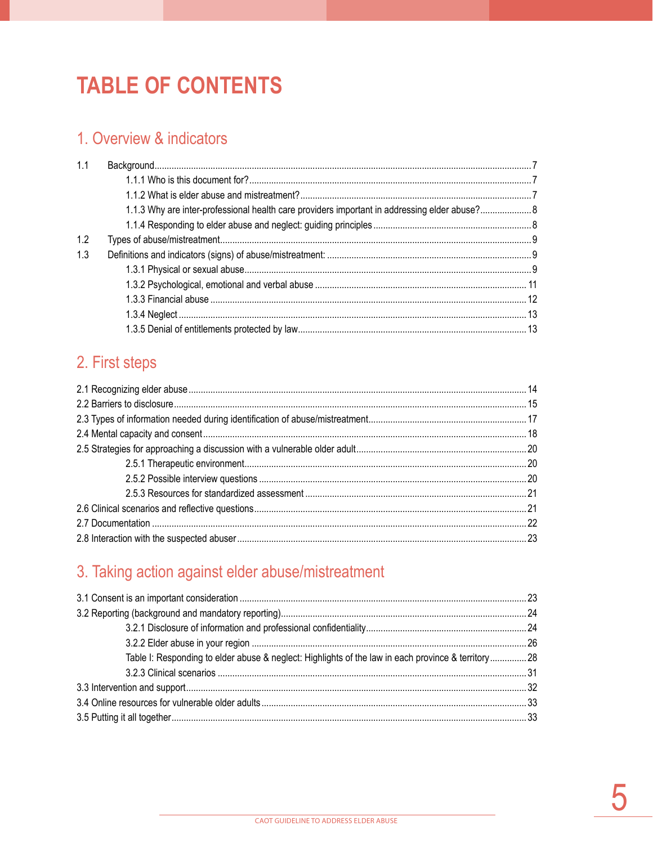# **TABLE OF CONTENTS**

## 1. Overview & indicators

| 1.1 |                                                                                               |  |
|-----|-----------------------------------------------------------------------------------------------|--|
|     |                                                                                               |  |
|     |                                                                                               |  |
|     | 1.1.3 Why are inter-professional health care providers important in addressing elder abuse? 8 |  |
|     |                                                                                               |  |
| 1.2 |                                                                                               |  |
| 1.3 |                                                                                               |  |
|     |                                                                                               |  |
|     |                                                                                               |  |
|     |                                                                                               |  |
|     |                                                                                               |  |
|     |                                                                                               |  |

# 2. First steps

# 3. Taking action against elder abuse/mistreatment

| Table I: Responding to elder abuse & neglect: Highlights of the law in each province & territory28 |  |  |
|----------------------------------------------------------------------------------------------------|--|--|
|                                                                                                    |  |  |
|                                                                                                    |  |  |
|                                                                                                    |  |  |
|                                                                                                    |  |  |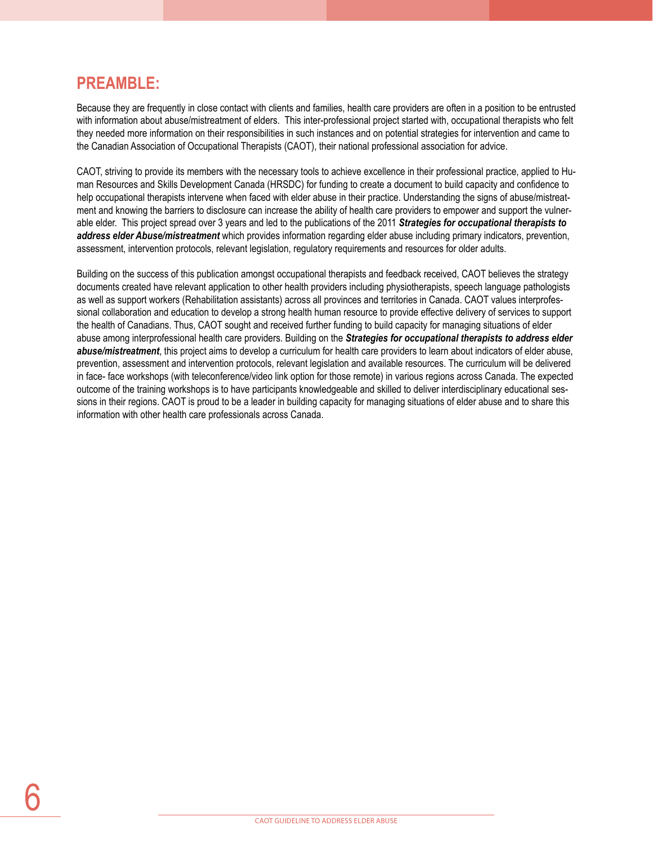### **PREAMBLE:**

Because they are frequently in close contact with clients and families, health care providers are often in a position to be entrusted with information about abuse/mistreatment of elders. This inter-professional project started with, occupational therapists who felt they needed more information on their responsibilities in such instances and on potential strategies for intervention and came to the Canadian Association of Occupational Therapists (CAOT), their national professional association for advice.

CAOT, striving to provide its members with the necessary tools to achieve excellence in their professional practice, applied to Human Resources and Skills Development Canada (HRSDC) for funding to create a document to build capacity and confidence to help occupational therapists intervene when faced with elder abuse in their practice. Understanding the signs of abuse/mistreatment and knowing the barriers to disclosure can increase the ability of health care providers to empower and support the vulnerable elder. This project spread over 3 years and led to the publications of the 2011 *Strategies for occupational therapists to address elder Abuse/mistreatment* which provides information regarding elder abuse including primary indicators, prevention, assessment, intervention protocols, relevant legislation, regulatory requirements and resources for older adults.

Building on the success of this publication amongst occupational therapists and feedback received, CAOT believes the strategy documents created have relevant application to other health providers including physiotherapists, speech language pathologists as well as support workers (Rehabilitation assistants) across all provinces and territories in Canada. CAOT values interprofessional collaboration and education to develop a strong health human resource to provide effective delivery of services to support the health of Canadians. Thus, CAOT sought and received further funding to build capacity for managing situations of elder abuse among interprofessional health care providers. Building on the *Strategies for occupational therapists to address elder abuse/mistreatment*, this project aims to develop a curriculum for health care providers to learn about indicators of elder abuse, prevention, assessment and intervention protocols, relevant legislation and available resources. The curriculum will be delivered in face- face workshops (with teleconference/video link option for those remote) in various regions across Canada. The expected outcome of the training workshops is to have participants knowledgeable and skilled to deliver interdisciplinary educational sessions in their regions. CAOT is proud to be a leader in building capacity for managing situations of elder abuse and to share this information with other health care professionals across Canada.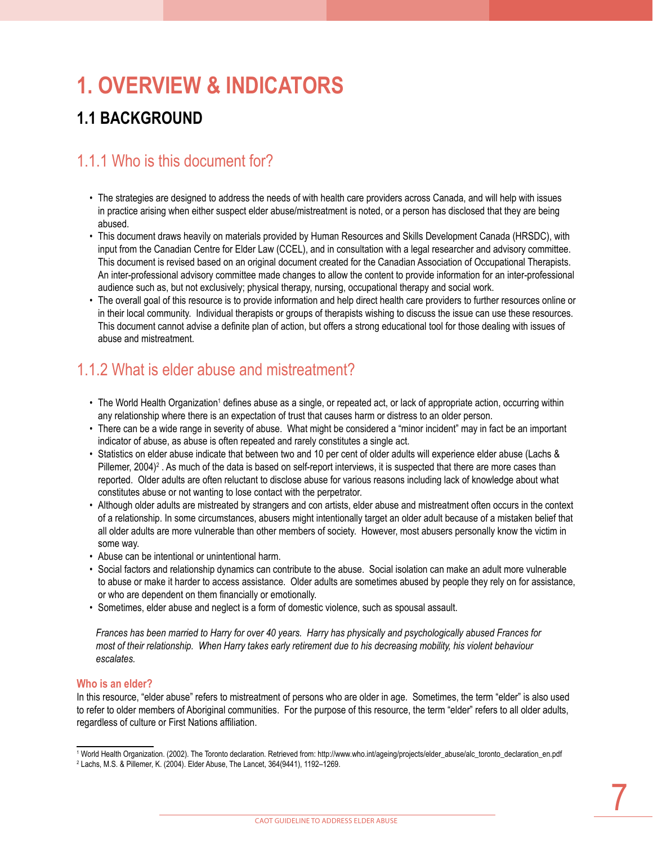# **1. OVERVIEW & Indicators**

# **1.1 Background**

### 1.1.1 Who is this document for?

- The strategies are designed to address the needs of with health care providers across Canada, and will help with issues in practice arising when either suspect elder abuse/mistreatment is noted, or a person has disclosed that they are being abused.
- This document draws heavily on materials provided by Human Resources and Skills Development Canada (HRSDC), with input from the Canadian Centre for Elder Law (CCEL), and in consultation with a legal researcher and advisory committee. This document is revised based on an original document created for the Canadian Association of Occupational Therapists. An inter-professional advisory committee made changes to allow the content to provide information for an inter-professional audience such as, but not exclusively; physical therapy, nursing, occupational therapy and social work.
- The overall goal of this resource is to provide information and help direct health care providers to further resources online or in their local community. Individual therapists or groups of therapists wishing to discuss the issue can use these resources. This document cannot advise a definite plan of action, but offers a strong educational tool for those dealing with issues of abuse and mistreatment.

# 1.1.2 What is elder abuse and mistreatment?

- The World Health Organization<sup>1</sup> defines abuse as a single, or repeated act, or lack of appropriate action, occurring within any relationship where there is an expectation of trust that causes harm or distress to an older person.
- There can be a wide range in severity of abuse. What might be considered a "minor incident" may in fact be an important indicator of abuse, as abuse is often repeated and rarely constitutes a single act.
- Statistics on elder abuse indicate that between two and 10 per cent of older adults will experience elder abuse (Lachs & Pillemer, 2004)<sup>2</sup>. As much of the data is based on self-report interviews, it is suspected that there are more cases than reported. Older adults are often reluctant to disclose abuse for various reasons including lack of knowledge about what constitutes abuse or not wanting to lose contact with the perpetrator.
- Although older adults are mistreated by strangers and con artists, elder abuse and mistreatment often occurs in the context of a relationship. In some circumstances, abusers might intentionally target an older adult because of a mistaken belief that all older adults are more vulnerable than other members of society. However, most abusers personally know the victim in some way.
- Abuse can be intentional or unintentional harm.
- Social factors and relationship dynamics can contribute to the abuse. Social isolation can make an adult more vulnerable to abuse or make it harder to access assistance. Older adults are sometimes abused by people they rely on for assistance, or who are dependent on them financially or emotionally.
- Sometimes, elder abuse and neglect is a form of domestic violence, such as spousal assault.

*Frances has been married to Harry for over 40 years. Harry has physically and psychologically abused Frances for*  most of their relationship. When Harry takes early retirement due to his decreasing mobility, his violent behaviour *escalates.* 

### **Who is an elder?**

In this resource, "elder abuse" refers to mistreatment of persons who are older in age. Sometimes, the term "elder" is also used to refer to older members of Aboriginal communities. For the purpose of this resource, the term "elder" refers to all older adults, regardless of culture or First Nations affiliation.

<sup>1</sup> World Health Organization. (2002). The Toronto declaration. Retrieved from: http://www.who.int/ageing/projects/elder\_abuse/alc\_toronto\_declaration\_en.pdf

<sup>2</sup> Lachs, M.S. & Pillemer, K. (2004). Elder Abuse, The Lancet, 364(9441), 1192–1269.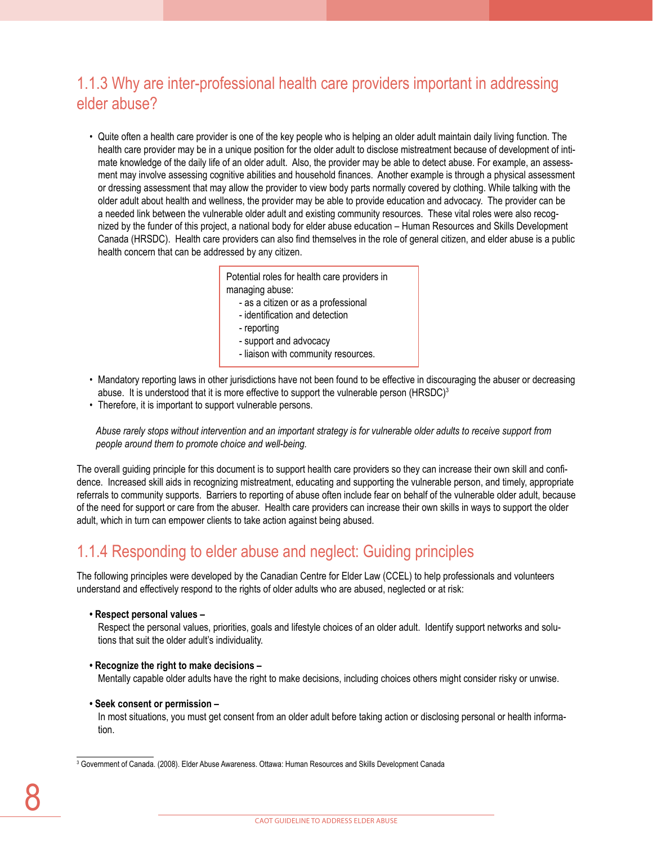## 1.1.3 Why are inter-professional health care providers important in addressing elder abuse?

• Quite often a health care provider is one of the key people who is helping an older adult maintain daily living function. The health care provider may be in a unique position for the older adult to disclose mistreatment because of development of intimate knowledge of the daily life of an older adult. Also, the provider may be able to detect abuse. For example, an assessment may involve assessing cognitive abilities and household finances. Another example is through a physical assessment or dressing assessment that may allow the provider to view body parts normally covered by clothing. While talking with the older adult about health and wellness, the provider may be able to provide education and advocacy. The provider can be a needed link between the vulnerable older adult and existing community resources. These vital roles were also recognized by the funder of this project, a national body for elder abuse education – Human Resources and Skills Development Canada (HRSDC). Health care providers can also find themselves in the role of general citizen, and elder abuse is a public health concern that can be addressed by any citizen.

> Potential roles for health care providers in managing abuse: - as a citizen or as a professional - identification and detection

- reporting
- support and advocacy
- liaison with community resources.
- Mandatory reporting laws in other jurisdictions have not been found to be effective in discouraging the abuser or decreasing abuse. It is understood that it is more effective to support the vulnerable person (HRSDC)<sup>3</sup>
- Therefore, it is important to support vulnerable persons.

*Abuse rarely stops without intervention and an important strategy is for vulnerable older adults to receive support from people around them to promote choice and well-being.*

The overall guiding principle for this document is to support health care providers so they can increase their own skill and confidence. Increased skill aids in recognizing mistreatment, educating and supporting the vulnerable person, and timely, appropriate referrals to community supports. Barriers to reporting of abuse often include fear on behalf of the vulnerable older adult, because of the need for support or care from the abuser. Health care providers can increase their own skills in ways to support the older adult, which in turn can empower clients to take action against being abused.

### 1.1.4 Responding to elder abuse and neglect: Guiding principles

The following principles were developed by the Canadian Centre for Elder Law (CCEL) to help professionals and volunteers understand and effectively respond to the rights of older adults who are abused, neglected or at risk:

**• Respect personal values –**

Respect the personal values, priorities, goals and lifestyle choices of an older adult. Identify support networks and solutions that suit the older adult's individuality.

**• Recognize the right to make decisions –**

Mentally capable older adults have the right to make decisions, including choices others might consider risky or unwise.

### **• Seek consent or permission –**

In most situations, you must get consent from an older adult before taking action or disclosing personal or health information.

3 Government of Canada. (2008). Elder Abuse Awareness. Ottawa: Human Resources and Skills Development Canada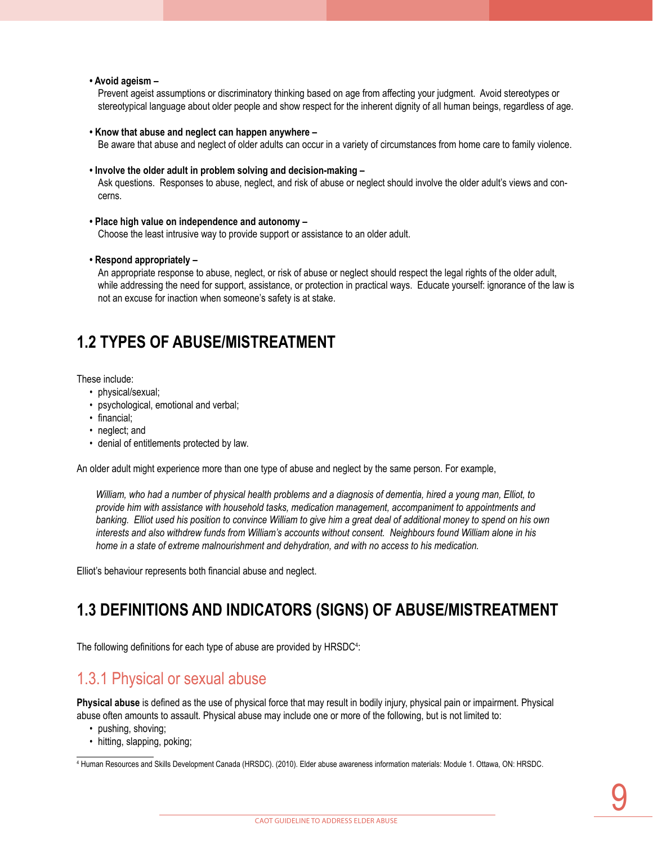#### **• Avoid ageism –**

Prevent ageist assumptions or discriminatory thinking based on age from affecting your judgment. Avoid stereotypes or stereotypical language about older people and show respect for the inherent dignity of all human beings, regardless of age.

#### **• Know that abuse and neglect can happen anywhere –**

Be aware that abuse and neglect of older adults can occur in a variety of circumstances from home care to family violence.

#### **• Involve the older adult in problem solving and decision-making –**

Ask questions. Responses to abuse, neglect, and risk of abuse or neglect should involve the older adult's views and concerns.

#### **• Place high value on independence and autonomy –**

Choose the least intrusive way to provide support or assistance to an older adult.

### **• Respond appropriately –**

An appropriate response to abuse, neglect, or risk of abuse or neglect should respect the legal rights of the older adult, while addressing the need for support, assistance, or protection in practical ways. Educate yourself: ignorance of the law is not an excuse for inaction when someone's safety is at stake.

### **1.2 Types of abuse/mistreatment**

These include:

- physical/sexual;
- psychological, emotional and verbal;
- financial;
- neglect: and
- denial of entitlements protected by law.

An older adult might experience more than one type of abuse and neglect by the same person. For example,

*William, who had a number of physical health problems and a diagnosis of dementia, hired a young man, Elliot, to provide him with assistance with household tasks, medication management, accompaniment to appointments and banking. Elliot used his position to convince William to give him a great deal of additional money to spend on his own interests and also withdrew funds from William's accounts without consent. Neighbours found William alone in his home in a state of extreme malnourishment and dehydration, and with no access to his medication.* 

Elliot's behaviour represents both financial abuse and neglect.

### **1.3 Definitions and indicators (signs) of abuse/mistreatment**

The following definitions for each type of abuse are provided by  $HRSDC<sup>4</sup>$ :

### 1.3.1 Physical or sexual abuse

**Physical abuse** is defined as the use of physical force that may result in bodily injury, physical pain or impairment. Physical abuse often amounts to assault. Physical abuse may include one or more of the following, but is not limited to:

- pushing, shoving;
- hitting, slapping, poking;

<sup>4</sup> Human Resources and Skills Development Canada (HRSDC). (2010). Elder abuse awareness information materials: Module 1. Ottawa, ON: HRSDC.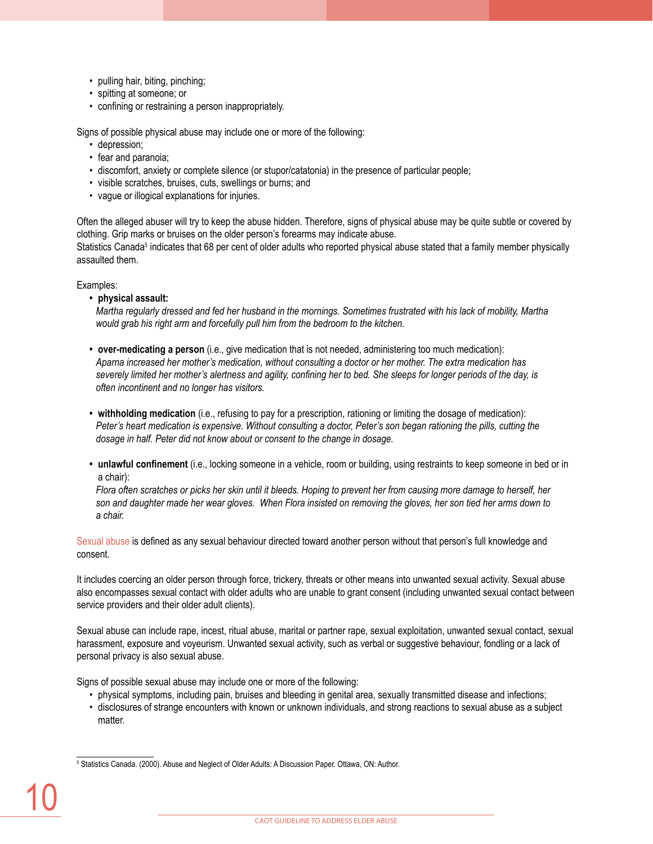- pulling hair, biting, pinching;
- spitting at someone; or
- confining or restraining a person inappropriately.

Signs of possible physical abuse may include one or more of the following:

- depression;
- fear and paranoia;
- discomfort, anxiety or complete silence (or stupor/catatonia) in the presence of particular people;
- visible scratches, bruises, cuts, swellings or burns; and
- vague or illogical explanations for injuries.

Often the alleged abuser will try to keep the abuse hidden. Therefore, signs of physical abuse may be quite subtle or covered by clothing. Grip marks or bruises on the older person's forearms may indicate abuse. Statistics Canada<sup>s</sup> indicates that 68 per cent of older adults who reported physical abuse stated that a family member physically assaulted them.

Examples:

**• physical assault:** 

*Martha regularly dressed and fed her husband in the mornings. Sometimes frustrated with his lack of mobility, Martha would grab his right arm and forcefully pull him from the bedroom to the kitchen.* 

- **• over-medicating a person** (i.e., give medication that is not needed, administering too much medication): *Aparna increased her mother's medication, without consulting a doctor or her mother. The extra medication has severely limited her mother's alertness and agility, confining her to bed. She sleeps for longer periods of the day, is often incontinent and no longer has visitors.*
- **• withholding medication** (i.e., refusing to pay for a prescription, rationing or limiting the dosage of medication): Peter's heart medication is expensive. Without consulting a doctor, Peter's son began rationing the pills, cutting the *dosage in half. Peter did not know about or consent to the change in dosage.*
- **• unlawful confinement** (i.e., locking someone in a vehicle, room or building, using restraints to keep someone in bed or in a chair):

*Flora often scratches or picks her skin until it bleeds. Hoping to prevent her from causing more damage to herself, her son and daughter made her wear gloves. When Flora insisted on removing the gloves, her son tied her arms down to a chair.* 

Sexual abuse is defined as any sexual behaviour directed toward another person without that person's full knowledge and consent.

It includes coercing an older person through force, trickery, threats or other means into unwanted sexual activity. Sexual abuse also encompasses sexual contact with older adults who are unable to grant consent (including unwanted sexual contact between service providers and their older adult clients).

Sexual abuse can include rape, incest, ritual abuse, marital or partner rape, sexual exploitation, unwanted sexual contact, sexual harassment, exposure and voyeurism. Unwanted sexual activity, such as verbal or suggestive behaviour, fondling or a lack of personal privacy is also sexual abuse.

Signs of possible sexual abuse may include one or more of the following:

- physical symptoms, including pain, bruises and bleeding in genital area, sexually transmitted disease and infections;
- disclosures of strange encounters with known or unknown individuals, and strong reactions to sexual abuse as a subject matter.

5 Statistics Canada. (2000). Abuse and Neglect of Older Adults: A Discussion Paper. Ottawa, ON: Author.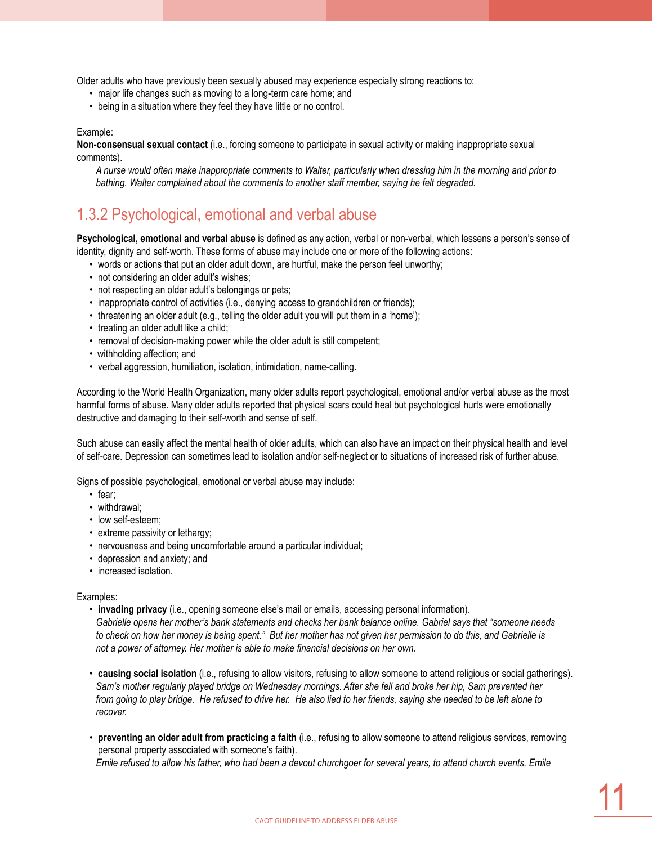Older adults who have previously been sexually abused may experience especially strong reactions to:

- major life changes such as moving to a long-term care home; and
- being in a situation where they feel they have little or no control.

#### Example:

**Non-consensual sexual contact** (i.e., forcing someone to participate in sexual activity or making inappropriate sexual comments).

*A nurse would often make inappropriate comments to Walter, particularly when dressing him in the morning and prior to bathing. Walter complained about the comments to another staff member, saying he felt degraded.*

### 1.3.2 Psychological, emotional and verbal abuse

**Psychological, emotional and verbal abuse** is defined as any action, verbal or non-verbal, which lessens a person's sense of identity, dignity and self-worth. These forms of abuse may include one or more of the following actions:

- words or actions that put an older adult down, are hurtful, make the person feel unworthy;
- not considering an older adult's wishes;
- not respecting an older adult's belongings or pets;
- inappropriate control of activities (i.e., denying access to grandchildren or friends);
- threatening an older adult (e.g., telling the older adult you will put them in a 'home');
- treating an older adult like a child;
- removal of decision-making power while the older adult is still competent;
- withholding affection; and
- verbal aggression, humiliation, isolation, intimidation, name-calling.

According to the World Health Organization, many older adults report psychological, emotional and/or verbal abuse as the most harmful forms of abuse. Many older adults reported that physical scars could heal but psychological hurts were emotionally destructive and damaging to their self-worth and sense of self.

Such abuse can easily affect the mental health of older adults, which can also have an impact on their physical health and level of self-care. Depression can sometimes lead to isolation and/or self-neglect or to situations of increased risk of further abuse.

Signs of possible psychological, emotional or verbal abuse may include:

- fear;
- withdrawal;
- low self-esteem:
- extreme passivity or lethargy;
- nervousness and being uncomfortable around a particular individual;
- depression and anxiety; and
- increased isolation.

Examples:

- **invading privacy** (i.e., opening someone else's mail or emails, accessing personal information). *Gabrielle opens her mother's bank statements and checks her bank balance online. Gabriel says that "someone needs to check on how her money is being spent." But her mother has not given her permission to do this, and Gabrielle is not a power of attorney. Her mother is able to make financial decisions on her own.*
- **causing social isolation** (i.e., refusing to allow visitors, refusing to allow someone to attend religious or social gatherings). *Sam's mother regularly played bridge on Wednesday mornings. After she fell and broke her hip, Sam prevented her from going to play bridge. He refused to drive her. He also lied to her friends, saying she needed to be left alone to recover.*
- **preventing an older adult from practicing a faith** (i.e., refusing to allow someone to attend religious services, removing personal property associated with someone's faith).

*Emile refused to allow his father, who had been a devout churchgoer for several years, to attend church events. Emile*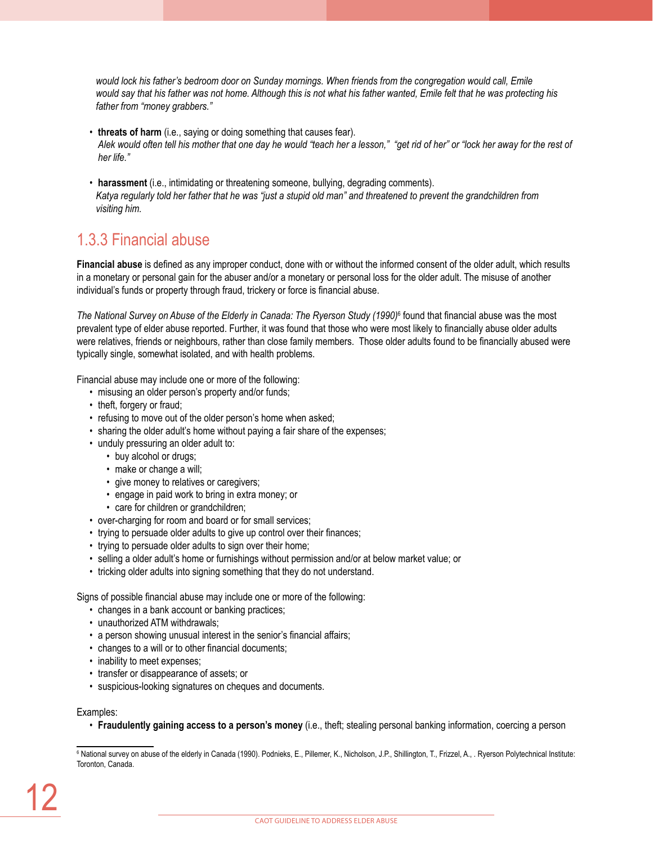*would lock his father's bedroom door on Sunday mornings. When friends from the congregation would call, Emile would say that his father was not home. Although this is not what his father wanted, Emile felt that he was protecting his father from "money grabbers."* 

- **threats of harm** (i.e., saying or doing something that causes fear). *Alek would often tell his mother that one day he would "teach her a lesson," "get rid of her" or "lock her away for the rest of her life."*
- **harassment** (i.e., intimidating or threatening someone, bullying, degrading comments). *Katya regularly told her father that he was "just a stupid old man" and threatened to prevent the grandchildren from visiting him.*

# 1.3.3 Financial abuse

**Financial abuse** is defined as any improper conduct, done with or without the informed consent of the older adult, which results in a monetary or personal gain for the abuser and/or a monetary or personal loss for the older adult. The misuse of another individual's funds or property through fraud, trickery or force is financial abuse.

The National Survey on Abuse of the Elderly in Canada: The Ryerson Study (1990)<sup>6</sup> found that financial abuse was the most prevalent type of elder abuse reported. Further, it was found that those who were most likely to financially abuse older adults were relatives, friends or neighbours, rather than close family members. Those older adults found to be financially abused were typically single, somewhat isolated, and with health problems.

Financial abuse may include one or more of the following:

- misusing an older person's property and/or funds;
- theft, forgery or fraud;
- refusing to move out of the older person's home when asked;
- sharing the older adult's home without paying a fair share of the expenses;
- unduly pressuring an older adult to:
	- buy alcohol or drugs;
	- make or change a will;
	- give money to relatives or caregivers;
	- engage in paid work to bring in extra money; or
	- care for children or grandchildren;
- over-charging for room and board or for small services;
- trying to persuade older adults to give up control over their finances;
- trying to persuade older adults to sign over their home;
- selling a older adult's home or furnishings without permission and/or at below market value; or
- tricking older adults into signing something that they do not understand.

Signs of possible financial abuse may include one or more of the following:

- changes in a bank account or banking practices;
- unauthorized ATM withdrawals;
- a person showing unusual interest in the senior's financial affairs;
- changes to a will or to other financial documents;
- inability to meet expenses;
- transfer or disappearance of assets; or
- suspicious-looking signatures on cheques and documents.

Examples:

• **Fraudulently gaining access to a person's money** (i.e., theft; stealing personal banking information, coercing a person

<sup>6</sup> National survey on abuse of the elderly in Canada (1990). Podnieks, E., Pillemer, K., Nicholson, J.P., Shillington, T., Frizzel, A., . Ryerson Polytechnical Institute: Toronton, Canada.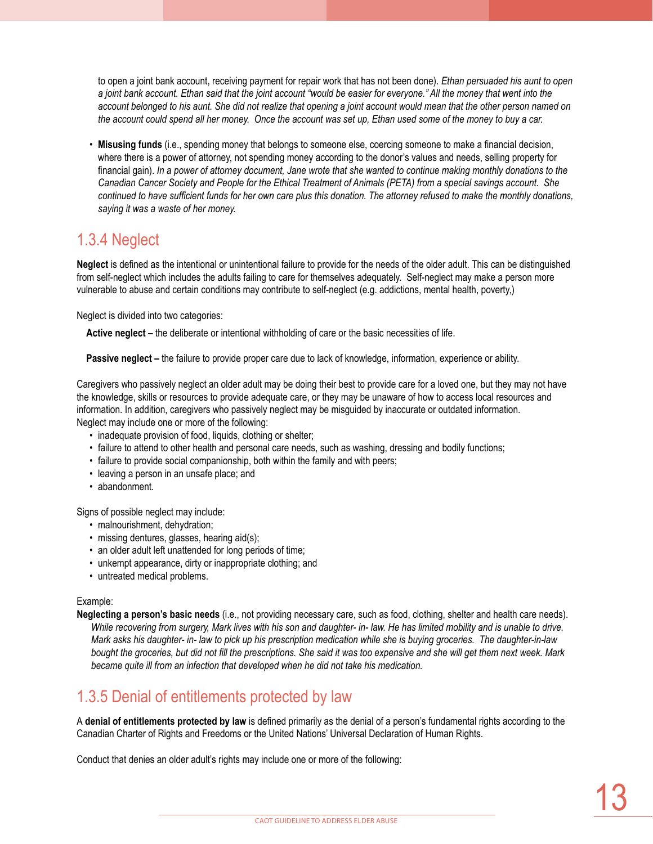to open a joint bank account, receiving payment for repair work that has not been done). *Ethan persuaded his aunt to open a joint bank account. Ethan said that the joint account "would be easier for everyone." All the money that went into the account belonged to his aunt. She did not realize that opening a joint account would mean that the other person named on the account could spend all her money. Once the account was set up, Ethan used some of the money to buy a car.* 

• **Misusing funds** (i.e., spending money that belongs to someone else, coercing someone to make a financial decision, where there is a power of attorney, not spending money according to the donor's values and needs, selling property for financial gain). *In a power of attorney document, Jane wrote that she wanted to continue making monthly donations to the Canadian Cancer Society and People for the Ethical Treatment of Animals (PETA) from a special savings account. She continued to have sufficient funds for her own care plus this donation. The attorney refused to make the monthly donations, saying it was a waste of her money.* 

### 1.3.4 Neglect

**Neglect** is defined as the intentional or unintentional failure to provide for the needs of the older adult. This can be distinguished from self-neglect which includes the adults failing to care for themselves adequately. Self-neglect may make a person more vulnerable to abuse and certain conditions may contribute to self-neglect (e.g. addictions, mental health, poverty,)

Neglect is divided into two categories:

**Active neglect –** the deliberate or intentional withholding of care or the basic necessities of life.

**Passive neglect –** the failure to provide proper care due to lack of knowledge, information, experience or ability.

Caregivers who passively neglect an older adult may be doing their best to provide care for a loved one, but they may not have the knowledge, skills or resources to provide adequate care, or they may be unaware of how to access local resources and information. In addition, caregivers who passively neglect may be misguided by inaccurate or outdated information. Neglect may include one or more of the following:

- inadequate provision of food, liquids, clothing or shelter;
- failure to attend to other health and personal care needs, such as washing, dressing and bodily functions;
- failure to provide social companionship, both within the family and with peers;
- leaving a person in an unsafe place; and
- abandonment.

Signs of possible neglect may include:

- malnourishment, dehydration;
- missing dentures, glasses, hearing aid(s);
- an older adult left unattended for long periods of time;
- unkempt appearance, dirty or inappropriate clothing; and
- untreated medical problems.

### Example:

**Neglecting a person's basic needs** (i.e., not providing necessary care, such as food, clothing, shelter and health care needs). *While recovering from surgery, Mark lives with his son and daughter- in- law. He has limited mobility and is unable to drive. Mark asks his daughter- in- law to pick up his prescription medication while she is buying groceries. The daughter-in-law bought the groceries, but did not fill the prescriptions. She said it was too expensive and she will get them next week. Mark became quite ill from an infection that developed when he did not take his medication.*

### 1.3.5 Denial of entitlements protected by law

A **denial of entitlements protected by law** is defined primarily as the denial of a person's fundamental rights according to the Canadian Charter of Rights and Freedoms or the United Nations' Universal Declaration of Human Rights.

Conduct that denies an older adult's rights may include one or more of the following: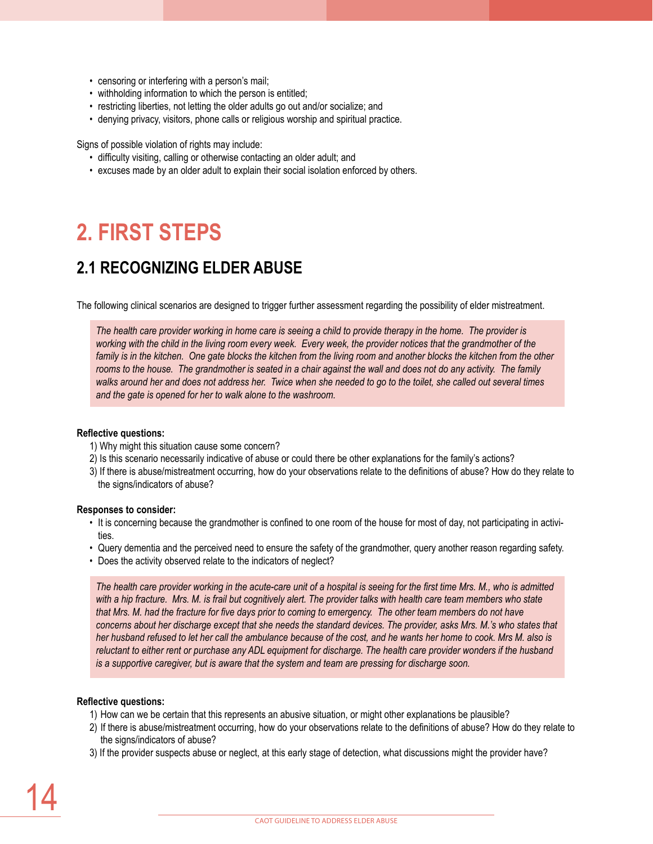- censoring or interfering with a person's mail;
- withholding information to which the person is entitled;
- restricting liberties, not letting the older adults go out and/or socialize; and
- denying privacy, visitors, phone calls or religious worship and spiritual practice.

Signs of possible violation of rights may include:

- difficulty visiting, calling or otherwise contacting an older adult; and
- excuses made by an older adult to explain their social isolation enforced by others.

# **2. First steps**

### **2.1 Recognizing elder abuse**

The following clinical scenarios are designed to trigger further assessment regarding the possibility of elder mistreatment.

*The health care provider working in home care is seeing a child to provide therapy in the home. The provider is*  working with the child in the living room every week. Every week, the provider notices that the grandmother of the family is in the kitchen. One gate blocks the kitchen from the living room and another blocks the kitchen from the other rooms to the house. The grandmother is seated in a chair against the wall and does not do any activity. The family *walks around her and does not address her. Twice when she needed to go to the toilet, she called out several times and the gate is opened for her to walk alone to the washroom.* 

### **Reflective questions:**

- 1) Why might this situation cause some concern?
- 2) Is this scenario necessarily indicative of abuse or could there be other explanations for the family's actions?
- 3) If there is abuse/mistreatment occurring, how do your observations relate to the definitions of abuse? How do they relate to the signs/indicators of abuse?

#### **Responses to consider:**

- It is concerning because the grandmother is confined to one room of the house for most of day, not participating in activities.
- Query dementia and the perceived need to ensure the safety of the grandmother, query another reason regarding safety.
- Does the activity observed relate to the indicators of neglect?

*The health care provider working in the acute-care unit of a hospital is seeing for the first time Mrs. M., who is admitted*  with a hip fracture. Mrs. M. is frail but cognitively alert. The provider talks with health care team members who state *that Mrs. M. had the fracture for five days prior to coming to emergency. The other team members do not have concerns about her discharge except that she needs the standard devices. The provider, asks Mrs. M.'s who states that her husband refused to let her call the ambulance because of the cost, and he wants her home to cook. Mrs M. also is reluctant to either rent or purchase any ADL equipment for discharge. The health care provider wonders if the husband is a supportive caregiver, but is aware that the system and team are pressing for discharge soon.*

### **Reflective questions:**

- 1) How can we be certain that this represents an abusive situation, or might other explanations be plausible?
- 2) If there is abuse/mistreatment occurring, how do your observations relate to the definitions of abuse? How do they relate to the signs/indicators of abuse?
- 3) If the provider suspects abuse or neglect, at this early stage of detection, what discussions might the provider have?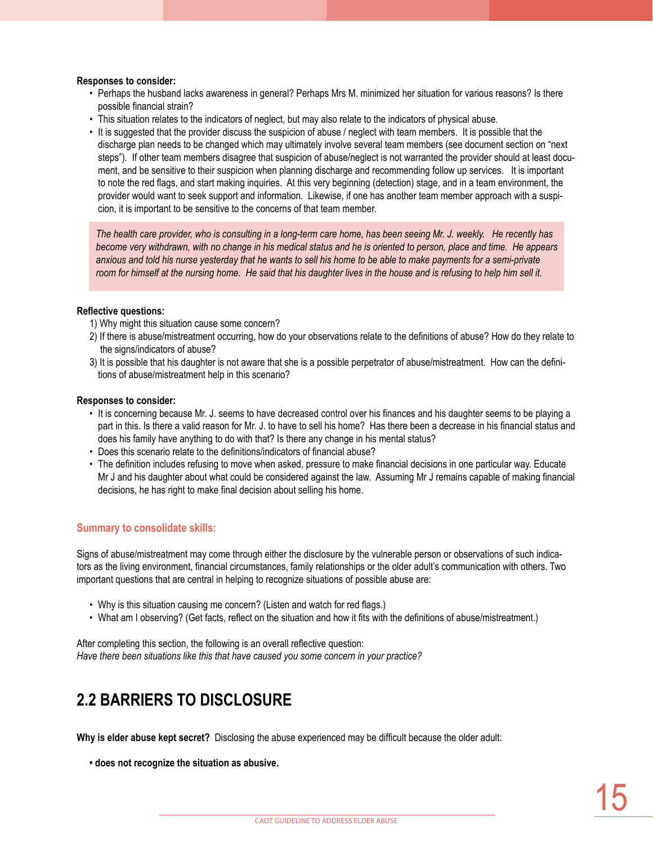#### **Responses to consider:**

- Perhaps the husband lacks awareness in general? Perhaps Mrs M. minimized her situation for various reasons? Is there possible financial strain?
- This situation relates to the indicators of neglect, but may also relate to the indicators of physical abuse.
- It is suggested that the provider discuss the suspicion of abuse / neglect with team members. It is possible that the discharge plan needs to be changed which may ultimately involve several team members (see document section on "next steps"). If other team members disagree that suspicion of abuse/neglect is not warranted the provider should at least document, and be sensitive to their suspicion when planning discharge and recommending follow up services. It is important to note the red flags, and start making inquiries. At this very beginning (detection) stage, and in a team environment, the provider would want to seek support and information. Likewise, if one has another team member approach with a suspicion, it is important to be sensitive to the concerns of that team member.

*The health care provider, who is consulting in a long-term care home, has been seeing Mr. J. weekly. He recently has become very withdrawn, with no change in his medical status and he is oriented to person, place and time. He appears*  anxious and told his nurse yesterday that he wants to sell his home to be able to make payments for a semi-private *room for himself at the nursing home. He said that his daughter lives in the house and is refusing to help him sell it.*

#### **Reflective questions:**

- 1) Why might this situation cause some concern?
- 2) If there is abuse/mistreatment occurring, how do your observations relate to the definitions of abuse? How do they relate to the signs/indicators of abuse?
- 3) It is possible that his daughter is not aware that she is a possible perpetrator of abuse/mistreatment. How can the definitions of abuse/mistreatment help in this scenario?

#### **Responses to consider:**

- It is concerning because Mr. J. seems to have decreased control over his finances and his daughter seems to be playing a part in this. Is there a valid reason for Mr. J. to have to sell his home? Has there been a decrease in his financial status and does his family have anything to do with that? Is there any change in his mental status?
- Does this scenario relate to the definitions/indicators of financial abuse?
- The definition includes refusing to move when asked, pressure to make financial decisions in one particular way. Educate Mr J and his daughter about what could be considered against the law. Assuming Mr J remains capable of making financial decisions, he has right to make final decision about selling his home.

### **Summary to consolidate skills:**

Signs of abuse/mistreatment may come through either the disclosure by the vulnerable person or observations of such indicators as the living environment, financial circumstances, family relationships or the older adult's communication with others. Two important questions that are central in helping to recognize situations of possible abuse are:

- Why is this situation causing me concern? (Listen and watch for red flags.)
- What am I observing? (Get facts, reflect on the situation and how it fits with the definitions of abuse/mistreatment.)

After completing this section, the following is an overall reflective question: *Have there been situations like this that have caused you some concern in your practice?*

### **2.2 Barriers to disclosure**

**Why is elder abuse kept secret?** Disclosing the abuse experienced may be difficult because the older adult:

**• does not recognize the situation as abusive.**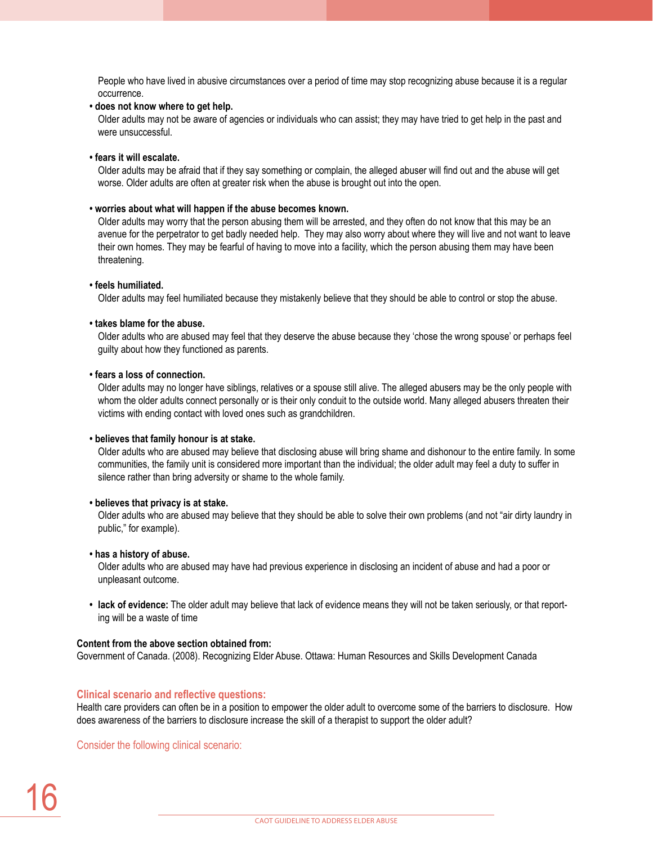People who have lived in abusive circumstances over a period of time may stop recognizing abuse because it is a regular occurrence.

**• does not know where to get help.** 

Older adults may not be aware of agencies or individuals who can assist; they may have tried to get help in the past and were unsuccessful.

**• fears it will escalate.** 

Older adults may be afraid that if they say something or complain, the alleged abuser will find out and the abuse will get worse. Older adults are often at greater risk when the abuse is brought out into the open.

### **• worries about what will happen if the abuse becomes known.**

Older adults may worry that the person abusing them will be arrested, and they often do not know that this may be an avenue for the perpetrator to get badly needed help. They may also worry about where they will live and not want to leave their own homes. They may be fearful of having to move into a facility, which the person abusing them may have been threatening.

#### **• feels humiliated.**

Older adults may feel humiliated because they mistakenly believe that they should be able to control or stop the abuse.

#### **• takes blame for the abuse.**

Older adults who are abused may feel that they deserve the abuse because they 'chose the wrong spouse' or perhaps feel guilty about how they functioned as parents.

#### **• fears a loss of connection.**

Older adults may no longer have siblings, relatives or a spouse still alive. The alleged abusers may be the only people with whom the older adults connect personally or is their only conduit to the outside world. Many alleged abusers threaten their victims with ending contact with loved ones such as grandchildren.

#### **• believes that family honour is at stake.**

Older adults who are abused may believe that disclosing abuse will bring shame and dishonour to the entire family. In some communities, the family unit is considered more important than the individual; the older adult may feel a duty to suffer in silence rather than bring adversity or shame to the whole family.

### **• believes that privacy is at stake.**

Older adults who are abused may believe that they should be able to solve their own problems (and not "air dirty laundry in public," for example).

#### **• has a history of abuse.**

Older adults who are abused may have had previous experience in disclosing an incident of abuse and had a poor or unpleasant outcome.

**• lack of evidence:** The older adult may believe that lack of evidence means they will not be taken seriously, or that reporting will be a waste of time

#### **Content from the above section obtained from:**

Government of Canada. (2008). Recognizing Elder Abuse. Ottawa: Human Resources and Skills Development Canada

### **Clinical scenario and reflective questions:**

Health care providers can often be in a position to empower the older adult to overcome some of the barriers to disclosure. How does awareness of the barriers to disclosure increase the skill of a therapist to support the older adult?

Consider the following clinical scenario: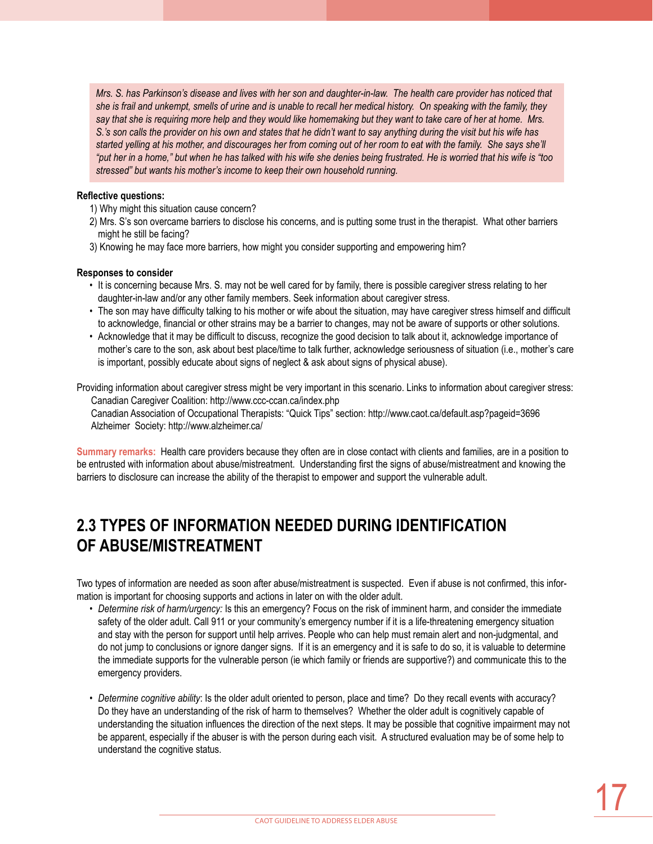*Mrs. S. has Parkinson's disease and lives with her son and daughter-in-law. The health care provider has noticed that she is frail and unkempt, smells of urine and is unable to recall her medical history. On speaking with the family, they say that she is requiring more help and they would like homemaking but they want to take care of her at home. Mrs. S.'s son calls the provider on his own and states that he didn't want to say anything during the visit but his wife has*  started yelling at his mother, and discourages her from coming out of her room to eat with the family. She says she'll *"put her in a home," but when he has talked with his wife she denies being frustrated. He is worried that his wife is "too stressed" but wants his mother's income to keep their own household running.* 

### **Reflective questions:**

1) Why might this situation cause concern?

- 2) Mrs. S's son overcame barriers to disclose his concerns, and is putting some trust in the therapist. What other barriers might he still be facing?
- 3) Knowing he may face more barriers, how might you consider supporting and empowering him?

### **Responses to consider**

- It is concerning because Mrs. S. may not be well cared for by family, there is possible caregiver stress relating to her daughter-in-law and/or any other family members. Seek information about caregiver stress.
- The son may have difficulty talking to his mother or wife about the situation, may have caregiver stress himself and difficult to acknowledge, financial or other strains may be a barrier to changes, may not be aware of supports or other solutions.
- Acknowledge that it may be difficult to discuss, recognize the good decision to talk about it, acknowledge importance of mother's care to the son, ask about best place/time to talk further, acknowledge seriousness of situation (i.e., mother's care is important, possibly educate about signs of neglect & ask about signs of physical abuse).

Providing information about caregiver stress might be very important in this scenario. Links to information about caregiver stress: Canadian Caregiver Coalition: http://www.ccc-ccan.ca/index.php Canadian Association of Occupational Therapists: "Quick Tips" section: http://www.caot.ca/default.asp?pageid=3696 Alzheimer Society: http://www.alzheimer.ca/

**Summary remarks:** Health care providers because they often are in close contact with clients and families, are in a position to be entrusted with information about abuse/mistreatment. Understanding first the signs of abuse/mistreatment and knowing the barriers to disclosure can increase the ability of the therapist to empower and support the vulnerable adult.

# **2.3 Types of information needed during identification of abuse/mistreatment**

Two types of information are needed as soon after abuse/mistreatment is suspected. Even if abuse is not confirmed, this information is important for choosing supports and actions in later on with the older adult.

- *Determine risk of harm/urgency:* Is this an emergency? Focus on the risk of imminent harm, and consider the immediate safety of the older adult. Call 911 or your community's emergency number if it is a life-threatening emergency situation and stay with the person for support until help arrives. People who can help must remain alert and non-judgmental, and do not jump to conclusions or ignore danger signs. If it is an emergency and it is safe to do so, it is valuable to determine the immediate supports for the vulnerable person (ie which family or friends are supportive?) and communicate this to the emergency providers.
- *Determine cognitive ability*: Is the older adult oriented to person, place and time? Do they recall events with accuracy? Do they have an understanding of the risk of harm to themselves? Whether the older adult is cognitively capable of understanding the situation influences the direction of the next steps. It may be possible that cognitive impairment may not be apparent, especially if the abuser is with the person during each visit. A structured evaluation may be of some help to understand the cognitive status.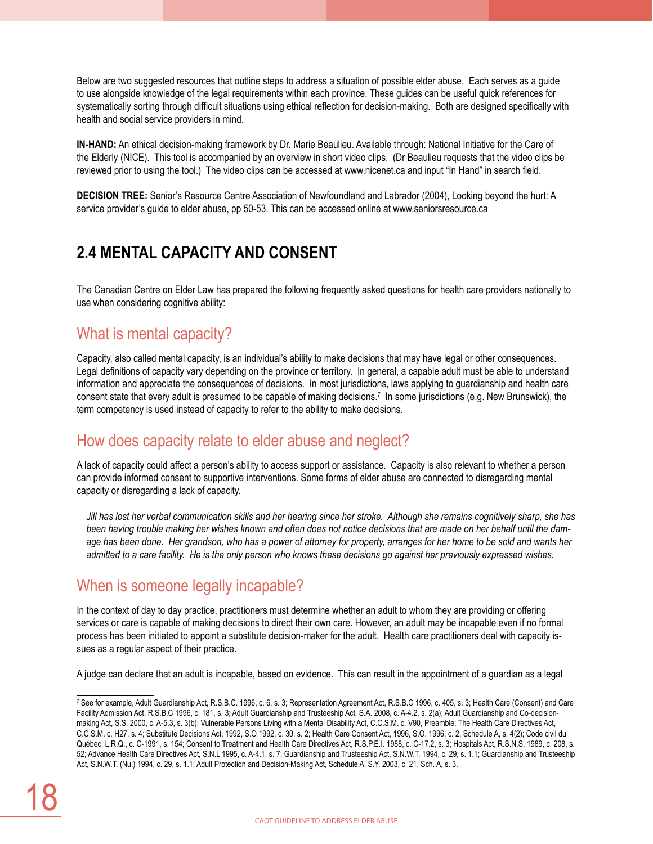Below are two suggested resources that outline steps to address a situation of possible elder abuse. Each serves as a guide to use alongside knowledge of the legal requirements within each province. These guides can be useful quick references for systematically sorting through difficult situations using ethical reflection for decision-making. Both are designed specifically with health and social service providers in mind.

**IN-HAND:** An ethical decision-making framework by Dr. Marie Beaulieu. Available through: National Initiative for the Care of the Elderly (NICE). This tool is accompanied by an overview in short video clips. (Dr Beaulieu requests that the video clips be reviewed prior to using the tool.) The video clips can be accessed at www.nicenet.ca and input "In Hand" in search field.

**DECISION TREE:** Senior's Resource Centre Association of Newfoundland and Labrador (2004), Looking beyond the hurt: A service provider's guide to elder abuse, pp 50-53. This can be accessed online at www.seniorsresource.ca

### **2.4 Mental capacity and consent**

The Canadian Centre on Elder Law has prepared the following frequently asked questions for health care providers nationally to use when considering cognitive ability:

### What is mental capacity?

Capacity, also called mental capacity, is an individual's ability to make decisions that may have legal or other consequences. Legal definitions of capacity vary depending on the province or territory. In general, a capable adult must be able to understand information and appreciate the consequences of decisions. In most jurisdictions, laws applying to guardianship and health care consent state that every adult is presumed to be capable of making decisions.7 In some jurisdictions (e.g. New Brunswick), the term competency is used instead of capacity to refer to the ability to make decisions.

### How does capacity relate to elder abuse and neglect?

A lack of capacity could affect a person's ability to access support or assistance. Capacity is also relevant to whether a person can provide informed consent to supportive interventions. Some forms of elder abuse are connected to disregarding mental capacity or disregarding a lack of capacity.

*Jill has lost her verbal communication skills and her hearing since her stroke. Although she remains cognitively sharp, she has been having trouble making her wishes known and often does not notice decisions that are made on her behalf until the damage has been done. Her grandson, who has a power of attorney for property, arranges for her home to be sold and wants her admitted to a care facility. He is the only person who knows these decisions go against her previously expressed wishes.*

### When is someone legally incapable?

In the context of day to day practice, practitioners must determine whether an adult to whom they are providing or offering services or care is capable of making decisions to direct their own care. However, an adult may be incapable even if no formal process has been initiated to appoint a substitute decision-maker for the adult. Health care practitioners deal with capacity issues as a regular aspect of their practice.

A judge can declare that an adult is incapable, based on evidence. This can result in the appointment of a guardian as a legal

<sup>7</sup> See for example, Adult Guardianship Act, R.S.B.C. 1996, c. 6, s. 3; Representation Agreement Act, R.S.B.C 1996, c. 405, s. 3; Health Care (Consent) and Care Facility Admission Act, R.S.B.C 1996, c. 181, s. 3; Adult Guardianship and Trusteeship Act, S.A. 2008, c. A-4.2, s. 2(a); Adult Guardianship and Co-decisionmaking Act, S.S. 2000, c. A-5.3, s. 3(b); Vulnerable Persons Living with a Mental Disability Act, C.C.S.M. c. V90, Preamble; The Health Care Directives Act, C.C.S.M. c. H27, s. 4; Substitute Decisions Act, 1992, S.O 1992, c. 30, s. 2; Health Care Consent Act, 1996, S.O. 1996, c. 2, Schedule A, s. 4(2); Code civil du Québec, L.R.Q., c. C-1991, s. 154; Consent to Treatment and Health Care Directives Act, R.S.P.E.I. 1988, c. C-17.2, s. 3; Hospitals Act, R.S.N.S. 1989, c. 208, s. 52; Advance Health Care Directives Act, S.N.L 1995, c. A-4.1, s. 7; Guardianship and Trusteeship Act, S.N.W.T. 1994, c. 29, s. 1.1; Guardianship and Trusteeship Act, S.N.W.T. (Nu.) 1994, c. 29, s. 1.1; Adult Protection and Decision-Making Act, Schedule A, S.Y. 2003, c. 21, Sch. A, s. 3.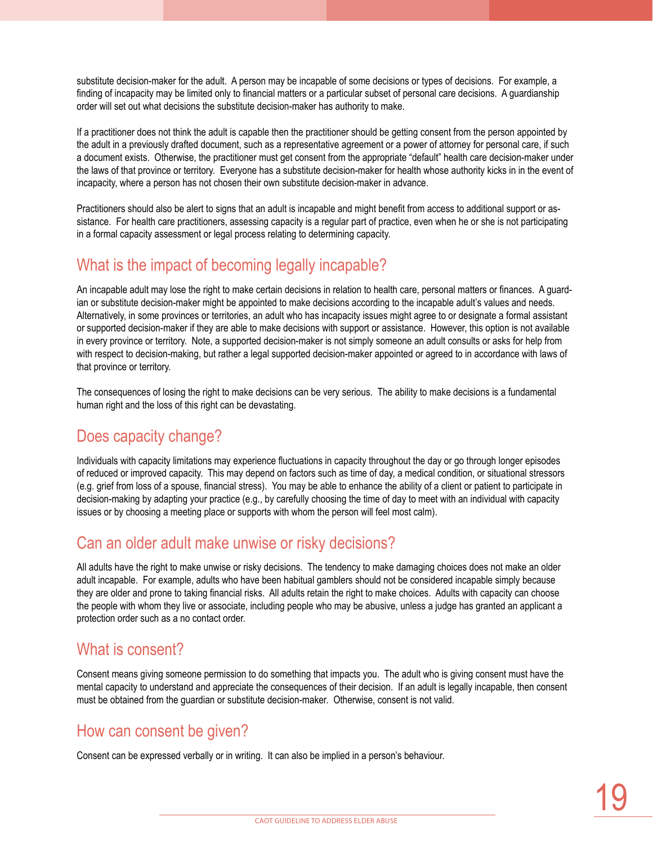substitute decision-maker for the adult. A person may be incapable of some decisions or types of decisions. For example, a finding of incapacity may be limited only to financial matters or a particular subset of personal care decisions. A guardianship order will set out what decisions the substitute decision-maker has authority to make.

If a practitioner does not think the adult is capable then the practitioner should be getting consent from the person appointed by the adult in a previously drafted document, such as a representative agreement or a power of attorney for personal care, if such a document exists. Otherwise, the practitioner must get consent from the appropriate "default" health care decision-maker under the laws of that province or territory. Everyone has a substitute decision-maker for health whose authority kicks in in the event of incapacity, where a person has not chosen their own substitute decision-maker in advance.

Practitioners should also be alert to signs that an adult is incapable and might benefit from access to additional support or assistance. For health care practitioners, assessing capacity is a regular part of practice, even when he or she is not participating in a formal capacity assessment or legal process relating to determining capacity.

### What is the impact of becoming legally incapable?

An incapable adult may lose the right to make certain decisions in relation to health care, personal matters or finances. A guardian or substitute decision-maker might be appointed to make decisions according to the incapable adult's values and needs. Alternatively, in some provinces or territories, an adult who has incapacity issues might agree to or designate a formal assistant or supported decision-maker if they are able to make decisions with support or assistance. However, this option is not available in every province or territory. Note, a supported decision-maker is not simply someone an adult consults or asks for help from with respect to decision-making, but rather a legal supported decision-maker appointed or agreed to in accordance with laws of that province or territory.

The consequences of losing the right to make decisions can be very serious. The ability to make decisions is a fundamental human right and the loss of this right can be devastating.

### Does capacity change?

Individuals with capacity limitations may experience fluctuations in capacity throughout the day or go through longer episodes of reduced or improved capacity. This may depend on factors such as time of day, a medical condition, or situational stressors (e.g. grief from loss of a spouse, financial stress). You may be able to enhance the ability of a client or patient to participate in decision-making by adapting your practice (e.g., by carefully choosing the time of day to meet with an individual with capacity issues or by choosing a meeting place or supports with whom the person will feel most calm).

### Can an older adult make unwise or risky decisions?

All adults have the right to make unwise or risky decisions. The tendency to make damaging choices does not make an older adult incapable. For example, adults who have been habitual gamblers should not be considered incapable simply because they are older and prone to taking financial risks. All adults retain the right to make choices. Adults with capacity can choose the people with whom they live or associate, including people who may be abusive, unless a judge has granted an applicant a protection order such as a no contact order.

### What is consent?

Consent means giving someone permission to do something that impacts you. The adult who is giving consent must have the mental capacity to understand and appreciate the consequences of their decision. If an adult is legally incapable, then consent must be obtained from the guardian or substitute decision-maker. Otherwise, consent is not valid.

### How can consent be given?

Consent can be expressed verbally or in writing. It can also be implied in a person's behaviour.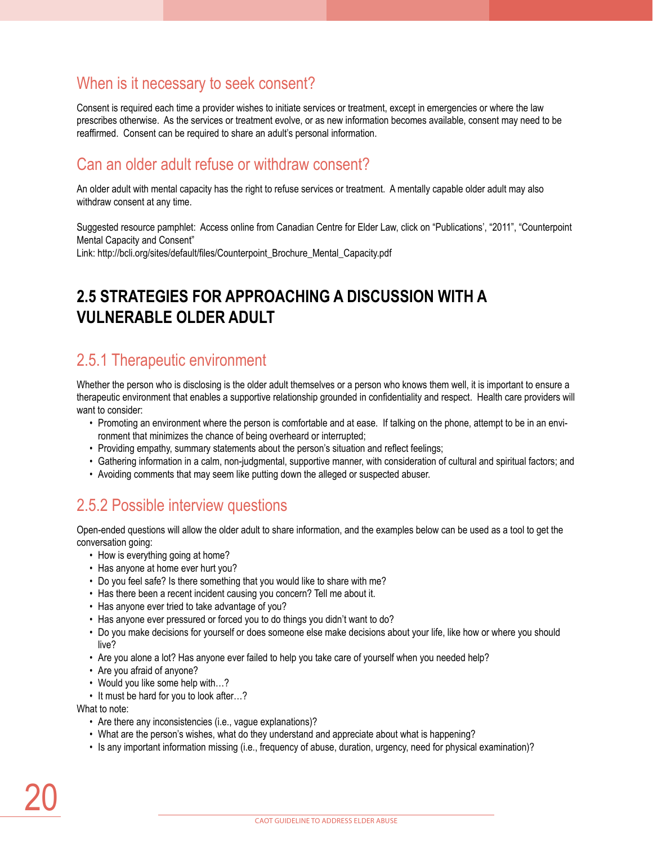### When is it necessary to seek consent?

Consent is required each time a provider wishes to initiate services or treatment, except in emergencies or where the law prescribes otherwise. As the services or treatment evolve, or as new information becomes available, consent may need to be reaffirmed. Consent can be required to share an adult's personal information.

### Can an older adult refuse or withdraw consent?

An older adult with mental capacity has the right to refuse services or treatment. A mentally capable older adult may also withdraw consent at any time.

Suggested resource pamphlet: Access online from Canadian Centre for Elder Law, click on "Publications', "2011", "Counterpoint Mental Capacity and Consent"

Link: http://bcli.org/sites/default/files/Counterpoint\_Brochure\_Mental\_Capacity.pdf

# **2.5 Strategies for approaching a discussion with a vulnerable older adult**

### 2.5.1 Therapeutic environment

Whether the person who is disclosing is the older adult themselves or a person who knows them well, it is important to ensure a therapeutic environment that enables a supportive relationship grounded in confidentiality and respect. Health care providers will want to consider:

- Promoting an environment where the person is comfortable and at ease. If talking on the phone, attempt to be in an environment that minimizes the chance of being overheard or interrupted;
- Providing empathy, summary statements about the person's situation and reflect feelings;
- Gathering information in a calm, non-judgmental, supportive manner, with consideration of cultural and spiritual factors; and
- Avoiding comments that may seem like putting down the alleged or suspected abuser.

### 2.5.2 Possible interview questions

Open-ended questions will allow the older adult to share information, and the examples below can be used as a tool to get the conversation going:

- How is everything going at home?
- Has anyone at home ever hurt you?
- Do you feel safe? Is there something that you would like to share with me?
- Has there been a recent incident causing you concern? Tell me about it.
- Has anyone ever tried to take advantage of you?
- Has anyone ever pressured or forced you to do things you didn't want to do?
- Do you make decisions for yourself or does someone else make decisions about your life, like how or where you should live?
- Are you alone a lot? Has anyone ever failed to help you take care of yourself when you needed help?
- Are you afraid of anyone?
- Would you like some help with...?
- It must be hard for you to look after…?

What to note:

- Are there any inconsistencies (i.e., vague explanations)?
- What are the person's wishes, what do they understand and appreciate about what is happening?
- Is any important information missing (i.e., frequency of abuse, duration, urgency, need for physical examination)?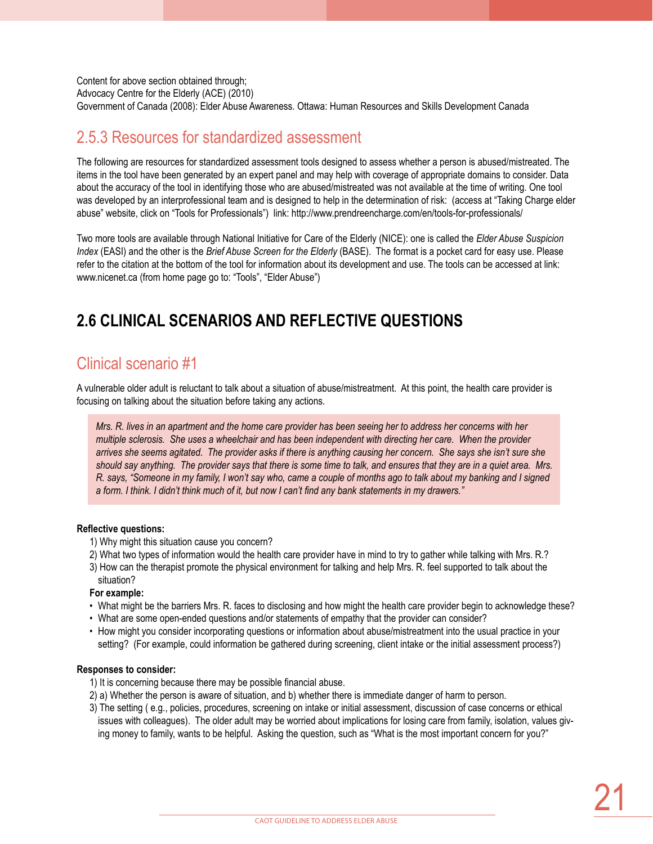Content for above section obtained through; Advocacy Centre for the Elderly (ACE) (2010) Government of Canada (2008): Elder Abuse Awareness. Ottawa: Human Resources and Skills Development Canada

### 2.5.3 Resources for standardized assessment

The following are resources for standardized assessment tools designed to assess whether a person is abused/mistreated. The items in the tool have been generated by an expert panel and may help with coverage of appropriate domains to consider. Data about the accuracy of the tool in identifying those who are abused/mistreated was not available at the time of writing. One tool was developed by an interprofessional team and is designed to help in the determination of risk: (access at "Taking Charge elder abuse" website, click on "Tools for Professionals") link: http://www.prendreencharge.com/en/tools-for-professionals/

Two more tools are available through National Initiative for Care of the Elderly (NICE): one is called the *Elder Abuse Suspicion Index* (EASI) and the other is the *Brief Abuse Screen for the Elderly* (BASE). The format is a pocket card for easy use. Please refer to the citation at the bottom of the tool for information about its development and use. The tools can be accessed at link: www.nicenet.ca (from home page go to: "Tools", "Elder Abuse")

# **2.6 Clinical scenarios and reflective questions**

### Clinical scenario #1

A vulnerable older adult is reluctant to talk about a situation of abuse/mistreatment. At this point, the health care provider is focusing on talking about the situation before taking any actions.

*Mrs. R. lives in an apartment and the home care provider has been seeing her to address her concerns with her multiple sclerosis. She uses a wheelchair and has been independent with directing her care. When the provider arrives she seems agitated. The provider asks if there is anything causing her concern. She says she isn't sure she should say anything. The provider says that there is some time to talk, and ensures that they are in a quiet area. Mrs. R. says, "Someone in my family, I won't say who, came a couple of months ago to talk about my banking and I signed a form. I think. I didn't think much of it, but now I can't find any bank statements in my drawers."*

### **Reflective questions:**

- 1) Why might this situation cause you concern?
- 2) What two types of information would the health care provider have in mind to try to gather while talking with Mrs. R.?
- 3) How can the therapist promote the physical environment for talking and help Mrs. R. feel supported to talk about the situation?

### **For example:**

- What might be the barriers Mrs. R. faces to disclosing and how might the health care provider begin to acknowledge these?
- What are some open-ended questions and/or statements of empathy that the provider can consider?
- How might you consider incorporating questions or information about abuse/mistreatment into the usual practice in your setting? (For example, could information be gathered during screening, client intake or the initial assessment process?)

### **Responses to consider:**

- 1) It is concerning because there may be possible financial abuse.
- 2) a) Whether the person is aware of situation, and b) whether there is immediate danger of harm to person.
- 3) The setting ( e.g., policies, procedures, screening on intake or initial assessment, discussion of case concerns or ethical issues with colleagues). The older adult may be worried about implications for losing care from family, isolation, values giving money to family, wants to be helpful. Asking the question, such as "What is the most important concern for you?"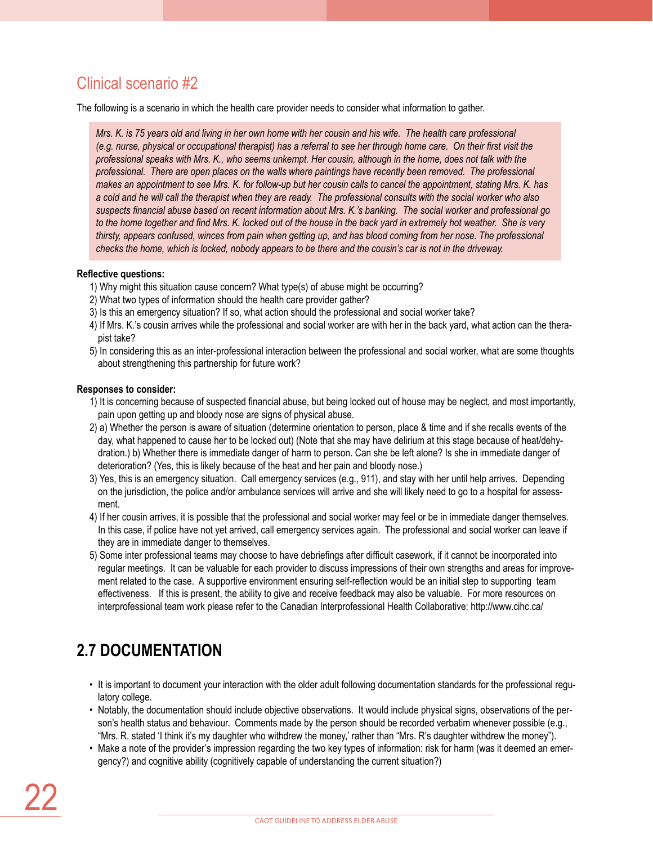## Clinical scenario #2

The following is a scenario in which the health care provider needs to consider what information to gather.

*Mrs. K. is 75 years old and living in her own home with her cousin and his wife. The health care professional (e.g. nurse, physical or occupational therapist) has a referral to see her through home care. On their first visit the professional speaks with Mrs. K., who seems unkempt. Her cousin, although in the home, does not talk with the*  professional. There are open places on the walls where paintings have recently been removed. The professional *makes an appointment to see Mrs. K. for follow-up but her cousin calls to cancel the appointment, stating Mrs. K. has a cold and he will call the therapist when they are ready. The professional consults with the social worker who also suspects financial abuse based on recent information about Mrs. K.'s banking. The social worker and professional go to the home together and find Mrs. K. locked out of the house in the back yard in extremely hot weather. She is very thirsty, appears confused, winces from pain when getting up, and has blood coming from her nose. The professional checks the home, which is locked, nobody appears to be there and the cousin's car is not in the driveway.*

### **Reflective questions:**

- 1) Why might this situation cause concern? What type(s) of abuse might be occurring?
- 2) What two types of information should the health care provider gather?
- 3) Is this an emergency situation? If so, what action should the professional and social worker take?
- 4) If Mrs. K.'s cousin arrives while the professional and social worker are with her in the back yard, what action can the therapist take?
- 5) In considering this as an inter-professional interaction between the professional and social worker, what are some thoughts about strengthening this partnership for future work?

### **Responses to consider:**

- 1) It is concerning because of suspected financial abuse, but being locked out of house may be neglect, and most importantly, pain upon getting up and bloody nose are signs of physical abuse.
- 2) a) Whether the person is aware of situation (determine orientation to person, place & time and if she recalls events of the day, what happened to cause her to be locked out) (Note that she may have delirium at this stage because of heat/dehydration.) b) Whether there is immediate danger of harm to person. Can she be left alone? Is she in immediate danger of deterioration? (Yes, this is likely because of the heat and her pain and bloody nose.)
- 3) Yes, this is an emergency situation. Call emergency services (e.g., 911), and stay with her until help arrives. Depending on the jurisdiction, the police and/or ambulance services will arrive and she will likely need to go to a hospital for assessment.
- 4) If her cousin arrives, it is possible that the professional and social worker may feel or be in immediate danger themselves. In this case, if police have not yet arrived, call emergency services again. The professional and social worker can leave if they are in immediate danger to themselves.
- 5) Some inter professional teams may choose to have debriefings after difficult casework, if it cannot be incorporated into regular meetings. It can be valuable for each provider to discuss impressions of their own strengths and areas for improvement related to the case. A supportive environment ensuring self-reflection would be an initial step to supporting team effectiveness. If this is present, the ability to give and receive feedback may also be valuable. For more resources on interprofessional team work please refer to the Canadian Interprofessional Health Collaborative: http://www.cihc.ca/

# **2.7 Documentation**

- It is important to document your interaction with the older adult following documentation standards for the professional regulatory college.
- Notably, the documentation should include objective observations. It would include physical signs, observations of the person's health status and behaviour. Comments made by the person should be recorded verbatim whenever possible (e.g., "Mrs. R. stated 'I think it's my daughter who withdrew the money,' rather than "Mrs. R's daughter withdrew the money").
- Make a note of the provider's impression regarding the two key types of information: risk for harm (was it deemed an emergency?) and cognitive ability (cognitively capable of understanding the current situation?)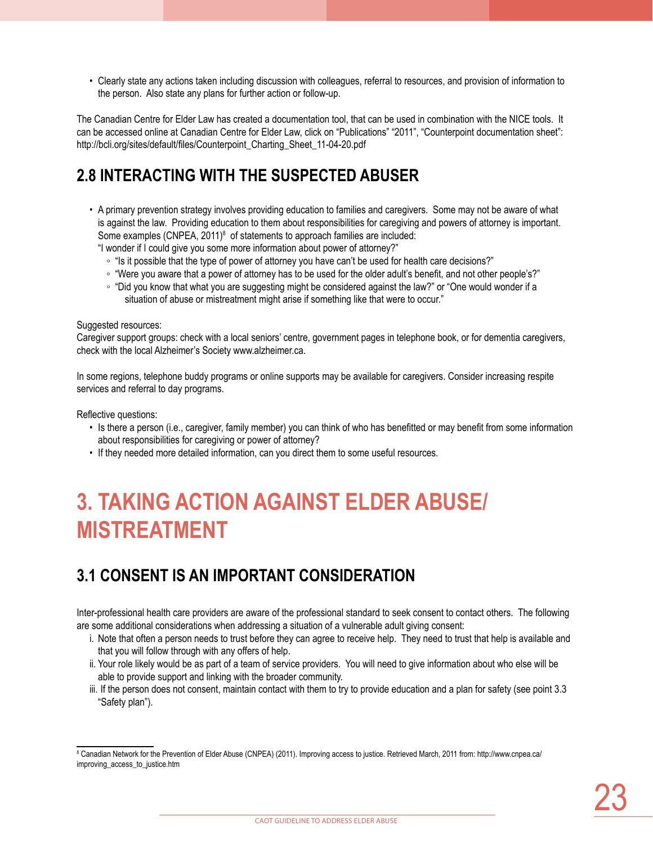• Clearly state any actions taken including discussion with colleagues, referral to resources, and provision of information to the person. Also state any plans for further action or follow-up.

The Canadian Centre for Elder Law has created a documentation tool, that can be used in combination with the NICE tools. It can be accessed online at Canadian Centre for Elder Law, click on "Publications" "2011", "Counterpoint documentation sheet": http://bcli.org/sites/default/files/Counterpoint\_Charting\_Sheet\_11-04-20.pdf

## **2.8 Interacting with the suspected abuser**

- A primary prevention strategy involves providing education to families and caregivers. Some may not be aware of what is against the law. Providing education to them about responsibilities for caregiving and powers of attorney is important. Some examples (CNPEA, 2011)<sup>8</sup> of statements to approach families are included:
	- "I wonder if I could give you some more information about power of attorney?"
		- "Is it possible that the type of power of attorney you have can't be used for health care decisions?"
		- "Were you aware that a power of attorney has to be used for the older adult's benefit, and not other people's?"
		- "Did you know that what you are suggesting might be considered against the law?" or "One would wonder if a situation of abuse or mistreatment might arise if something like that were to occur."

### Suggested resources:

Caregiver support groups: check with a local seniors' centre, government pages in telephone book, or for dementia caregivers, check with the local Alzheimer's Society www.alzheimer.ca.

In some regions, telephone buddy programs or online supports may be available for caregivers. Consider increasing respite services and referral to day programs.

Reflective questions:

- Is there a person (i.e., caregiver, family member) you can think of who has benefitted or may benefit from some information about responsibilities for caregiving or power of attorney?
- If they needed more detailed information, can you direct them to some useful resources.

# **3. Taking action against elder abuse/ mistreatment**

# **3.1 Consent is an important consideration**

Inter-professional health care providers are aware of the professional standard to seek consent to contact others. The following are some additional considerations when addressing a situation of a vulnerable adult giving consent:

- i. Note that often a person needs to trust before they can agree to receive help. They need to trust that help is available and that you will follow through with any offers of help.
- ii. Your role likely would be as part of a team of service providers. You will need to give information about who else will be able to provide support and linking with the broader community.
- iii. If the person does not consent, maintain contact with them to try to provide education and a plan for safety (see point 3.3 "Safety plan").

<sup>8</sup> Canadian Network for the Prevention of Elder Abuse (CNPEA) (2011). Improving access to justice. Retrieved March, 2011 from: http://www.cnpea.ca/ improving\_access\_to\_justice.htm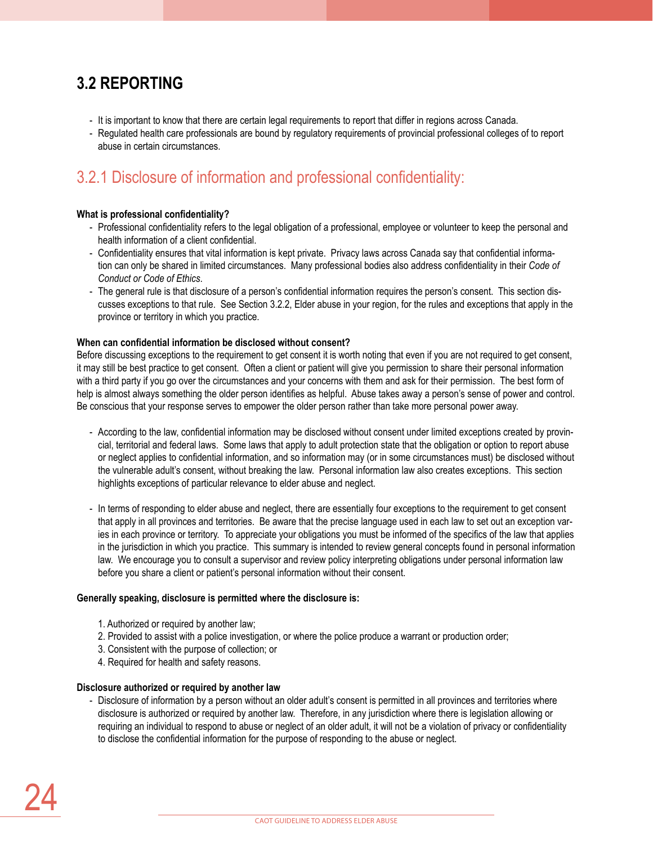# **3.2 Reporting**

- It is important to know that there are certain legal requirements to report that differ in regions across Canada.
- Regulated health care professionals are bound by regulatory requirements of provincial professional colleges of to report abuse in certain circumstances.

# 3.2.1 Disclosure of information and professional confidentiality:

### **What is professional confidentiality?**

- Professional confidentiality refers to the legal obligation of a professional, employee or volunteer to keep the personal and health information of a client confidential.
- Confidentiality ensures that vital information is kept private. Privacy laws across Canada say that confidential information can only be shared in limited circumstances. Many professional bodies also address confidentiality in their *Code of Conduct or Code of Ethics*.
- The general rule is that disclosure of a person's confidential information requires the person's consent. This section discusses exceptions to that rule. See Section 3.2.2, Elder abuse in your region, for the rules and exceptions that apply in the province or territory in which you practice.

### **When can confidential information be disclosed without consent?**

Before discussing exceptions to the requirement to get consent it is worth noting that even if you are not required to get consent, it may still be best practice to get consent. Often a client or patient will give you permission to share their personal information with a third party if you go over the circumstances and your concerns with them and ask for their permission. The best form of help is almost always something the older person identifies as helpful. Abuse takes away a person's sense of power and control. Be conscious that your response serves to empower the older person rather than take more personal power away.

- According to the law, confidential information may be disclosed without consent under limited exceptions created by provincial, territorial and federal laws. Some laws that apply to adult protection state that the obligation or option to report abuse or neglect applies to confidential information, and so information may (or in some circumstances must) be disclosed without the vulnerable adult's consent, without breaking the law. Personal information law also creates exceptions. This section highlights exceptions of particular relevance to elder abuse and neglect.
- In terms of responding to elder abuse and neglect, there are essentially four exceptions to the requirement to get consent that apply in all provinces and territories. Be aware that the precise language used in each law to set out an exception varies in each province or territory. To appreciate your obligations you must be informed of the specifics of the law that applies in the jurisdiction in which you practice. This summary is intended to review general concepts found in personal information law. We encourage you to consult a supervisor and review policy interpreting obligations under personal information law before you share a client or patient's personal information without their consent.

### **Generally speaking, disclosure is permitted where the disclosure is:**

- 1. Authorized or required by another law;
- 2. Provided to assist with a police investigation, or where the police produce a warrant or production order;
- 3. Consistent with the purpose of collection; or
- 4. Required for health and safety reasons.

### **Disclosure authorized or required by another law**

- Disclosure of information by a person without an older adult's consent is permitted in all provinces and territories where disclosure is authorized or required by another law. Therefore, in any jurisdiction where there is legislation allowing or requiring an individual to respond to abuse or neglect of an older adult, it will not be a violation of privacy or confidentiality to disclose the confidential information for the purpose of responding to the abuse or neglect.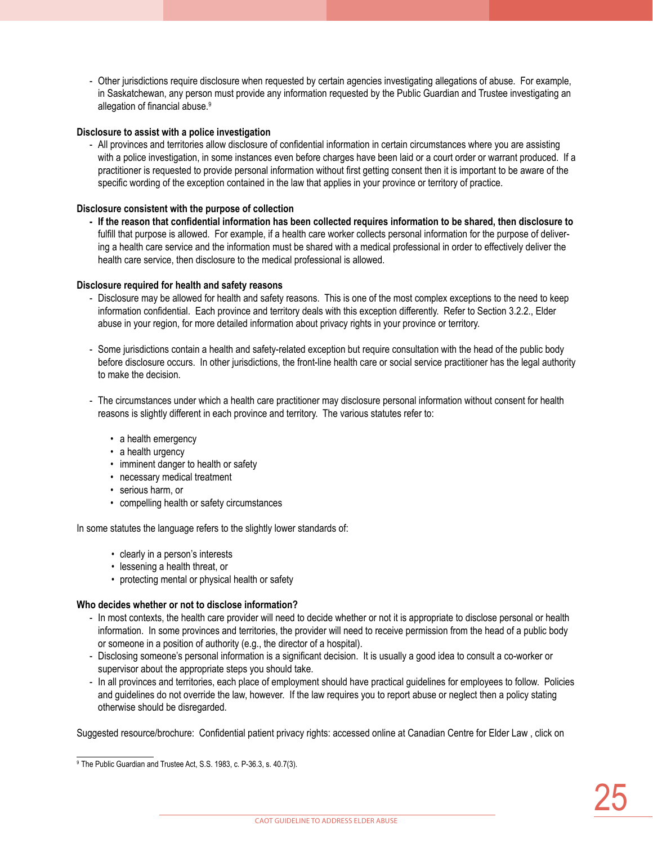- Other jurisdictions require disclosure when requested by certain agencies investigating allegations of abuse. For example, in Saskatchewan, any person must provide any information requested by the Public Guardian and Trustee investigating an allegation of financial abuse.<sup>9</sup>

### **Disclosure to assist with a police investigation**

- All provinces and territories allow disclosure of confidential information in certain circumstances where you are assisting with a police investigation, in some instances even before charges have been laid or a court order or warrant produced. If a practitioner is requested to provide personal information without first getting consent then it is important to be aware of the specific wording of the exception contained in the law that applies in your province or territory of practice.

### **Disclosure consistent with the purpose of collection**

**- If the reason that confidential information has been collected requires information to be shared, then disclosure to**  fulfill that purpose is allowed. For example, if a health care worker collects personal information for the purpose of delivering a health care service and the information must be shared with a medical professional in order to effectively deliver the health care service, then disclosure to the medical professional is allowed.

### **Disclosure required for health and safety reasons**

- Disclosure may be allowed for health and safety reasons. This is one of the most complex exceptions to the need to keep information confidential. Each province and territory deals with this exception differently. Refer to Section 3.2.2., Elder abuse in your region, for more detailed information about privacy rights in your province or territory.
- Some jurisdictions contain a health and safety-related exception but require consultation with the head of the public body before disclosure occurs. In other jurisdictions, the front-line health care or social service practitioner has the legal authority to make the decision.
- The circumstances under which a health care practitioner may disclosure personal information without consent for health reasons is slightly different in each province and territory. The various statutes refer to:
	- a health emergency
	- a health urgency
	- imminent danger to health or safety
	- necessary medical treatment
	- serious harm, or
	- compelling health or safety circumstances

In some statutes the language refers to the slightly lower standards of:

- clearly in a person's interests
- lessening a health threat, or
- protecting mental or physical health or safety

### **Who decides whether or not to disclose information?**

- In most contexts, the health care provider will need to decide whether or not it is appropriate to disclose personal or health information. In some provinces and territories, the provider will need to receive permission from the head of a public body or someone in a position of authority (e.g., the director of a hospital).
- Disclosing someone's personal information is a significant decision. It is usually a good idea to consult a co-worker or supervisor about the appropriate steps you should take.
- In all provinces and territories, each place of employment should have practical guidelines for employees to follow. Policies and guidelines do not override the law, however. If the law requires you to report abuse or neglect then a policy stating otherwise should be disregarded.

Suggested resource/brochure: Confidential patient privacy rights: accessed online at Canadian Centre for Elder Law , click on

<sup>9</sup> The Public Guardian and Trustee Act, S.S. 1983, c. P-36.3, s. 40.7(3).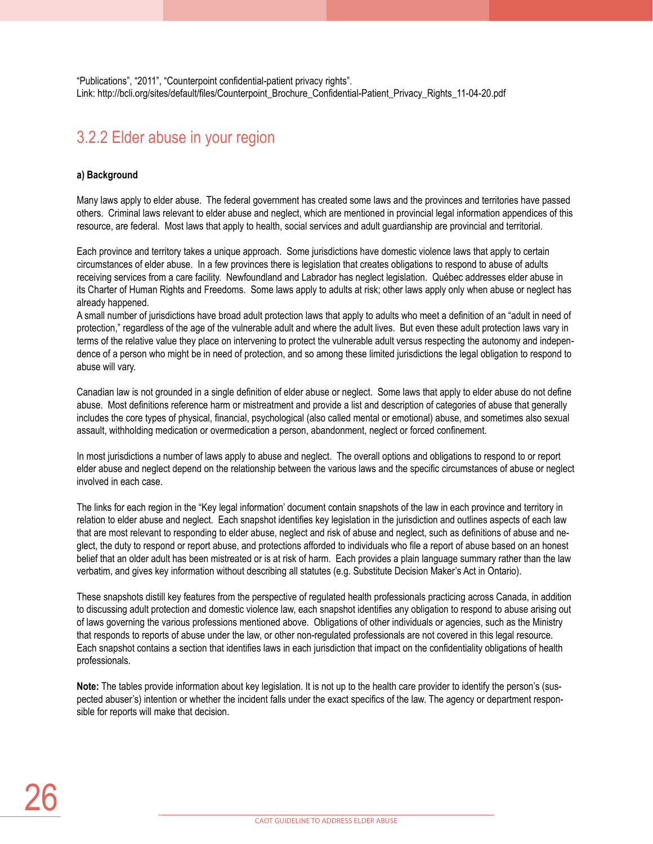"Publications", "2011", "Counterpoint confidential-patient privacy rights". Link: http://bcli.org/sites/default/files/Counterpoint\_Brochure\_Confidential-Patient\_Privacy\_Rights\_11-04-20.pdf

### 3.2.2 Elder abuse in your region

### **a) Background**

Many laws apply to elder abuse. The federal government has created some laws and the provinces and territories have passed others. Criminal laws relevant to elder abuse and neglect, which are mentioned in provincial legal information appendices of this resource, are federal. Most laws that apply to health, social services and adult guardianship are provincial and territorial.

Each province and territory takes a unique approach. Some jurisdictions have domestic violence laws that apply to certain circumstances of elder abuse. In a few provinces there is legislation that creates obligations to respond to abuse of adults receiving services from a care facility. Newfoundland and Labrador has neglect legislation. Québec addresses elder abuse in its Charter of Human Rights and Freedoms. Some laws apply to adults at risk; other laws apply only when abuse or neglect has already happened.

A small number of jurisdictions have broad adult protection laws that apply to adults who meet a definition of an "adult in need of protection," regardless of the age of the vulnerable adult and where the adult lives. But even these adult protection laws vary in terms of the relative value they place on intervening to protect the vulnerable adult versus respecting the autonomy and independence of a person who might be in need of protection, and so among these limited jurisdictions the legal obligation to respond to abuse will vary.

Canadian law is not grounded in a single definition of elder abuse or neglect. Some laws that apply to elder abuse do not define abuse. Most definitions reference harm or mistreatment and provide a list and description of categories of abuse that generally includes the core types of physical, financial, psychological (also called mental or emotional) abuse, and sometimes also sexual assault, withholding medication or overmedication a person, abandonment, neglect or forced confinement.

In most jurisdictions a number of laws apply to abuse and neglect. The overall options and obligations to respond to or report elder abuse and neglect depend on the relationship between the various laws and the specific circumstances of abuse or neglect involved in each case.

The links for each region in the "Key legal information' document contain snapshots of the law in each province and territory in relation to elder abuse and neglect. Each snapshot identifies key legislation in the jurisdiction and outlines aspects of each law that are most relevant to responding to elder abuse, neglect and risk of abuse and neglect, such as definitions of abuse and neglect, the duty to respond or report abuse, and protections afforded to individuals who file a report of abuse based on an honest belief that an older adult has been mistreated or is at risk of harm. Each provides a plain language summary rather than the law verbatim, and gives key information without describing all statutes (e.g. Substitute Decision Maker's Act in Ontario).

These snapshots distill key features from the perspective of regulated health professionals practicing across Canada, in addition to discussing adult protection and domestic violence law, each snapshot identifies any obligation to respond to abuse arising out of laws governing the various professions mentioned above. Obligations of other individuals or agencies, such as the Ministry that responds to reports of abuse under the law, or other non-regulated professionals are not covered in this legal resource. Each snapshot contains a section that identifies laws in each jurisdiction that impact on the confidentiality obligations of health professionals.

**Note:** The tables provide information about key legislation. It is not up to the health care provider to identify the person's (suspected abuser's) intention or whether the incident falls under the exact specifics of the law. The agency or department responsible for reports will make that decision.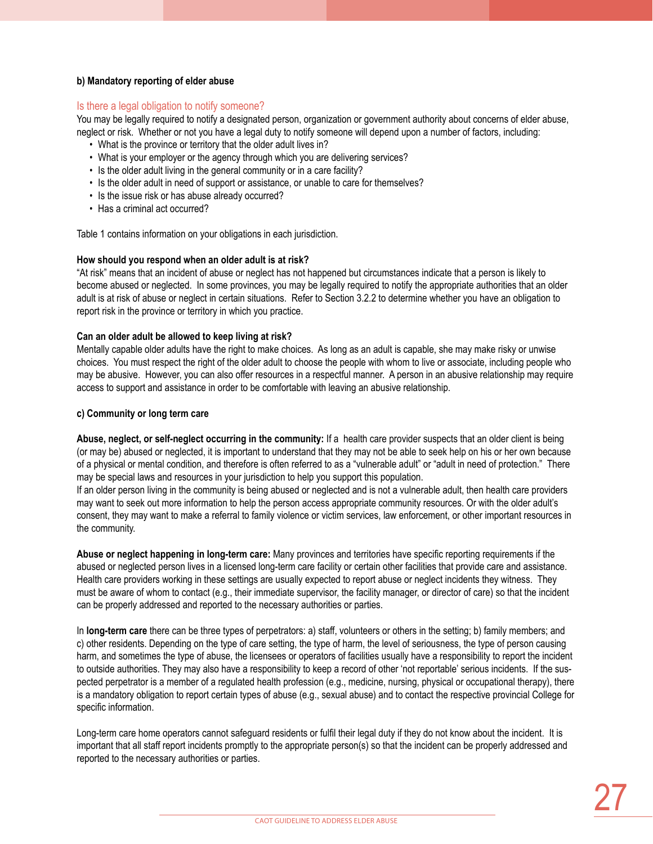### **b) Mandatory reporting of elder abuse**

### Is there a legal obligation to notify someone?

You may be legally required to notify a designated person, organization or government authority about concerns of elder abuse, neglect or risk. Whether or not you have a legal duty to notify someone will depend upon a number of factors, including:

- What is the province or territory that the older adult lives in?
- What is your employer or the agency through which you are delivering services?
- Is the older adult living in the general community or in a care facility?
- Is the older adult in need of support or assistance, or unable to care for themselves?
- Is the issue risk or has abuse already occurred?
- Has a criminal act occurred?

Table 1 contains information on your obligations in each jurisdiction.

### **How should you respond when an older adult is at risk?**

"At risk" means that an incident of abuse or neglect has not happened but circumstances indicate that a person is likely to become abused or neglected. In some provinces, you may be legally required to notify the appropriate authorities that an older adult is at risk of abuse or neglect in certain situations. Refer to Section 3.2.2 to determine whether you have an obligation to report risk in the province or territory in which you practice.

### **Can an older adult be allowed to keep living at risk?**

Mentally capable older adults have the right to make choices. As long as an adult is capable, she may make risky or unwise choices. You must respect the right of the older adult to choose the people with whom to live or associate, including people who may be abusive. However, you can also offer resources in a respectful manner. A person in an abusive relationship may require access to support and assistance in order to be comfortable with leaving an abusive relationship.

### **c) Community or long term care**

**Abuse, neglect, or self-neglect occurring in the community:** If a health care provider suspects that an older client is being (or may be) abused or neglected, it is important to understand that they may not be able to seek help on his or her own because of a physical or mental condition, and therefore is often referred to as a "vulnerable adult" or "adult in need of protection." There may be special laws and resources in your jurisdiction to help you support this population.

If an older person living in the community is being abused or neglected and is not a vulnerable adult, then health care providers may want to seek out more information to help the person access appropriate community resources. Or with the older adult's consent, they may want to make a referral to family violence or victim services, law enforcement, or other important resources in the community.

**Abuse or neglect happening in long-term care:** Many provinces and territories have specific reporting requirements if the abused or neglected person lives in a licensed long-term care facility or certain other facilities that provide care and assistance. Health care providers working in these settings are usually expected to report abuse or neglect incidents they witness. They must be aware of whom to contact (e.g., their immediate supervisor, the facility manager, or director of care) so that the incident can be properly addressed and reported to the necessary authorities or parties.

In **long-term care** there can be three types of perpetrators: a) staff, volunteers or others in the setting; b) family members; and c) other residents. Depending on the type of care setting, the type of harm, the level of seriousness, the type of person causing harm, and sometimes the type of abuse, the licensees or operators of facilities usually have a responsibility to report the incident to outside authorities. They may also have a responsibility to keep a record of other 'not reportable' serious incidents. If the suspected perpetrator is a member of a regulated health profession (e.g., medicine, nursing, physical or occupational therapy), there is a mandatory obligation to report certain types of abuse (e.g., sexual abuse) and to contact the respective provincial College for specific information.

Long-term care home operators cannot safeguard residents or fulfil their legal duty if they do not know about the incident. It is important that all staff report incidents promptly to the appropriate person(s) so that the incident can be properly addressed and reported to the necessary authorities or parties.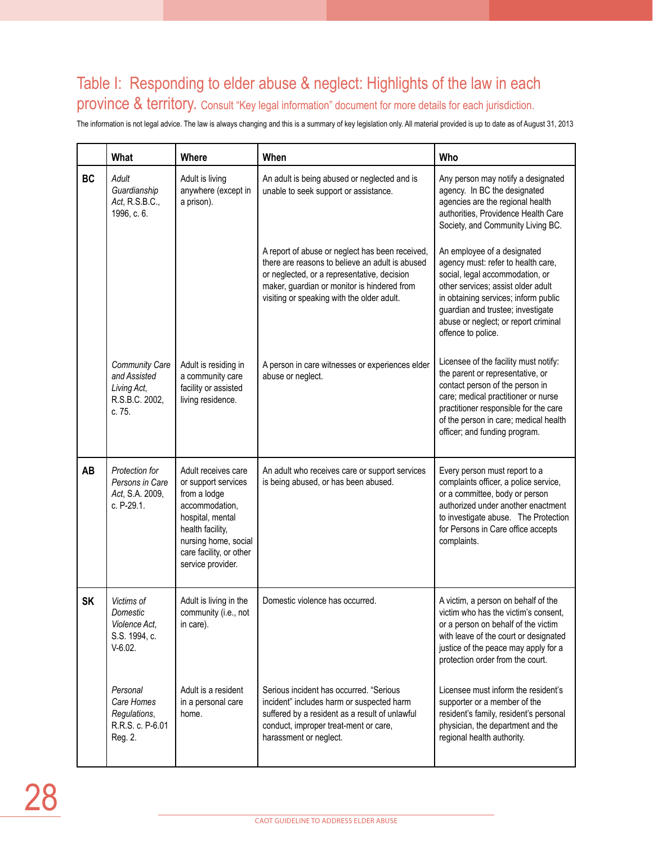# Table I: Responding to elder abuse & neglect: Highlights of the law in each

province & territory. Consult "Key legal information" document for more details for each jurisdiction.

The information is not legal advice. The law is always changing and this is a summary of key legislation only. All material provided is up to date as of August 31, 2013

|           | What                                                                             | <b>Where</b>                                                                                                                                                                                 | When                                                                                                                                                                                                                                           | Who                                                                                                                                                                                                                                                                                   |
|-----------|----------------------------------------------------------------------------------|----------------------------------------------------------------------------------------------------------------------------------------------------------------------------------------------|------------------------------------------------------------------------------------------------------------------------------------------------------------------------------------------------------------------------------------------------|---------------------------------------------------------------------------------------------------------------------------------------------------------------------------------------------------------------------------------------------------------------------------------------|
| <b>BC</b> | Adult<br>Guardianship<br>Act, R.S.B.C.,<br>1996, c. 6.                           | Adult is living<br>anywhere (except in<br>a prison).                                                                                                                                         | An adult is being abused or neglected and is<br>unable to seek support or assistance.                                                                                                                                                          | Any person may notify a designated<br>agency. In BC the designated<br>agencies are the regional health<br>authorities, Providence Health Care<br>Society, and Community Living BC.                                                                                                    |
|           |                                                                                  |                                                                                                                                                                                              | A report of abuse or neglect has been received,<br>there are reasons to believe an adult is abused<br>or neglected, or a representative, decision<br>maker, guardian or monitor is hindered from<br>visiting or speaking with the older adult. | An employee of a designated<br>agency must: refer to health care,<br>social, legal accommodation, or<br>other services; assist older adult<br>in obtaining services; inform public<br>guardian and trustee; investigate<br>abuse or neglect; or report criminal<br>offence to police. |
|           | <b>Community Care</b><br>and Assisted<br>Living Act,<br>R.S.B.C. 2002,<br>c. 75. | Adult is residing in<br>a community care<br>facility or assisted<br>living residence.                                                                                                        | A person in care witnesses or experiences elder<br>abuse or neglect.                                                                                                                                                                           | Licensee of the facility must notify:<br>the parent or representative, or<br>contact person of the person in<br>care; medical practitioner or nurse<br>practitioner responsible for the care<br>of the person in care; medical health<br>officer; and funding program.                |
| AB        | Protection for<br>Persons in Care<br>Act, S.A. 2009,<br>c. P-29.1.               | Adult receives care<br>or support services<br>from a lodge<br>accommodation,<br>hospital, mental<br>health facility,<br>nursing home, social<br>care facility, or other<br>service provider. | An adult who receives care or support services<br>is being abused, or has been abused.                                                                                                                                                         | Every person must report to a<br>complaints officer, a police service,<br>or a committee, body or person<br>authorized under another enactment<br>to investigate abuse. The Protection<br>for Persons in Care office accepts<br>complaints.                                           |
| <b>SK</b> | Victims of<br>Domestic<br>Violence Act,<br>S.S. 1994, c.<br>$V-6.02.$            | Adult is living in the<br>community (i.e., not<br>in care).                                                                                                                                  | Domestic violence has occurred.                                                                                                                                                                                                                | A victim, a person on behalf of the<br>victim who has the victim's consent.<br>or a person on behalf of the victim<br>with leave of the court or designated<br>justice of the peace may apply for a<br>protection order from the court.                                               |
|           | Personal<br>Care Homes<br>Regulations,<br>R.R.S. c. P-6.01<br>Reg. 2.            | Adult is a resident<br>in a personal care<br>home.                                                                                                                                           | Serious incident has occurred. "Serious<br>incident" includes harm or suspected harm<br>suffered by a resident as a result of unlawful<br>conduct, improper treat-ment or care,<br>harassment or neglect.                                      | Licensee must inform the resident's<br>supporter or a member of the<br>resident's family, resident's personal<br>physician, the department and the<br>regional health authority.                                                                                                      |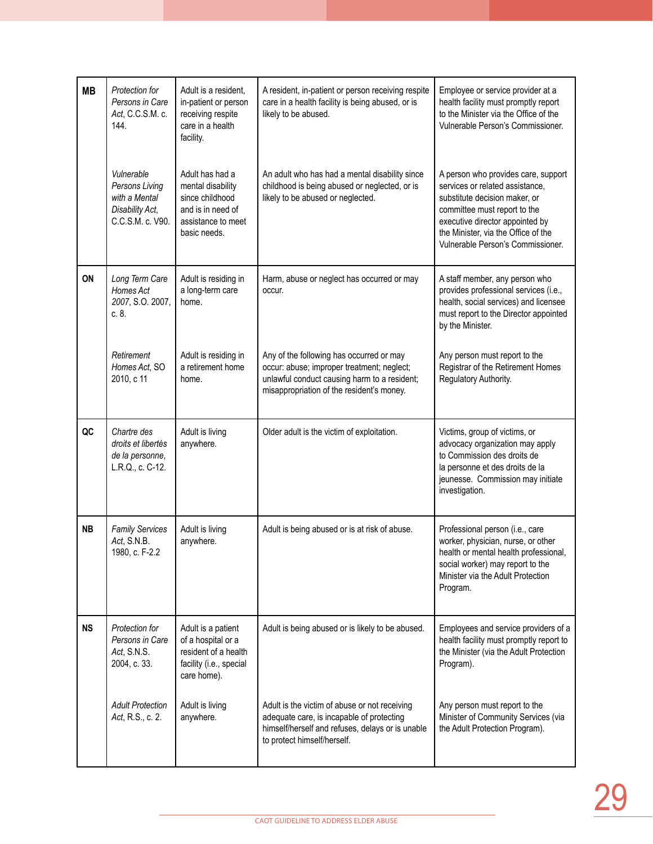| <b>MB</b> | Protection for<br>Persons in Care<br>Act, C.C.S.M. c.<br>144.                        | Adult is a resident,<br>in-patient or person<br>receiving respite<br>care in a health<br>facility.                 | A resident, in-patient or person receiving respite<br>care in a health facility is being abused, or is<br>likely to be abused.                                                      | Employee or service provider at a<br>health facility must promptly report<br>to the Minister via the Office of the<br>Vulnerable Person's Commissioner.                                                                                                |
|-----------|--------------------------------------------------------------------------------------|--------------------------------------------------------------------------------------------------------------------|-------------------------------------------------------------------------------------------------------------------------------------------------------------------------------------|--------------------------------------------------------------------------------------------------------------------------------------------------------------------------------------------------------------------------------------------------------|
|           | Vulnerable<br>Persons Living<br>with a Mental<br>Disability Act,<br>C.C.S.M. c. V90. | Adult has had a<br>mental disability<br>since childhood<br>and is in need of<br>assistance to meet<br>basic needs. | An adult who has had a mental disability since<br>childhood is being abused or neglected, or is<br>likely to be abused or neglected.                                                | A person who provides care, support<br>services or related assistance,<br>substitute decision maker, or<br>committee must report to the<br>executive director appointed by<br>the Minister, via the Office of the<br>Vulnerable Person's Commissioner. |
| ON        | Long Term Care<br>Homes Act<br>2007, S.O. 2007,<br>c. 8.                             | Adult is residing in<br>a long-term care<br>home.                                                                  | Harm, abuse or neglect has occurred or may<br>occur.                                                                                                                                | A staff member, any person who<br>provides professional services (i.e.,<br>health, social services) and licensee<br>must report to the Director appointed<br>by the Minister.                                                                          |
|           | Retirement<br>Homes Act, SO<br>2010, c 11                                            | Adult is residing in<br>a retirement home<br>home.                                                                 | Any of the following has occurred or may<br>occur: abuse; improper treatment; neglect;<br>unlawful conduct causing harm to a resident;<br>misappropriation of the resident's money. | Any person must report to the<br>Registrar of the Retirement Homes<br>Regulatory Authority.                                                                                                                                                            |
| QC        | Chartre des<br>droits et libertés<br>de la personne,<br>L.R.Q., c. C-12.             | Adult is living<br>anywhere.                                                                                       | Older adult is the victim of exploitation.                                                                                                                                          | Victims, group of victims, or<br>advocacy organization may apply<br>to Commission des droits de<br>la personne et des droits de la<br>jeunesse. Commission may initiate<br>investigation.                                                              |
| <b>NB</b> | <b>Family Services</b><br>Act, S.N.B.<br>1980, c. F-2.2                              | Adult is living<br>anywhere.                                                                                       | Adult is being abused or is at risk of abuse.                                                                                                                                       | Professional person (i.e., care<br>worker, physician, nurse, or other<br>health or mental health professional,<br>social worker) may report to the<br>Minister via the Adult Protection<br>Program.                                                    |
| <b>NS</b> | Protection for<br>Persons in Care<br>Act, S.N.S.<br>2004, c. 33.                     | Adult is a patient<br>of a hospital or a<br>resident of a health<br>facility (i.e., special<br>care home).         | Adult is being abused or is likely to be abused.                                                                                                                                    | Employees and service providers of a<br>health facility must promptly report to<br>the Minister (via the Adult Protection<br>Program).                                                                                                                 |
|           | <b>Adult Protection</b><br>Act, R.S., c. 2.                                          | Adult is living<br>anywhere.                                                                                       | Adult is the victim of abuse or not receiving<br>adequate care, is incapable of protecting<br>himself/herself and refuses, delays or is unable<br>to protect himself/herself.       | Any person must report to the<br>Minister of Community Services (via<br>the Adult Protection Program).                                                                                                                                                 |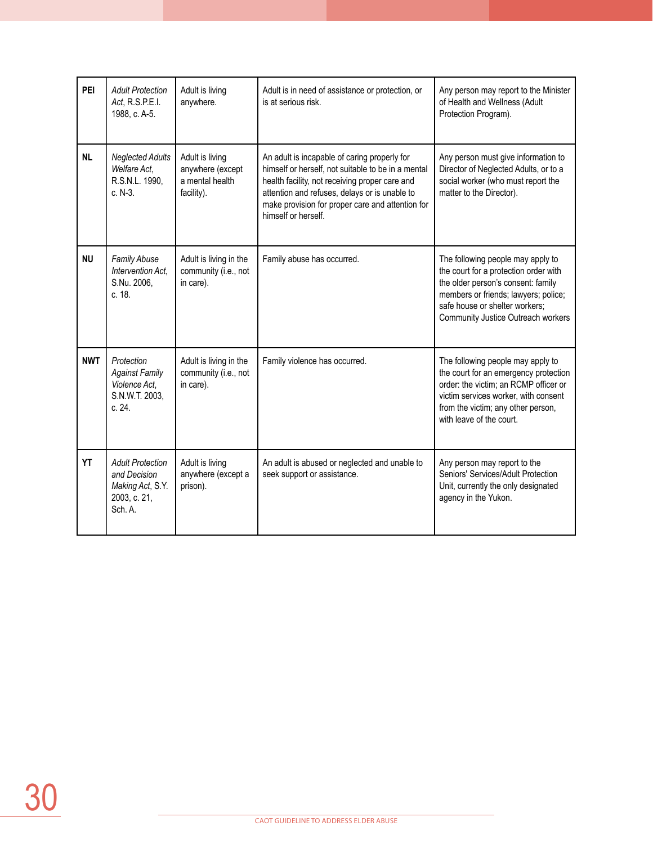| PEI        | <b>Adult Protection</b><br>Act, R.S.P.E.I.<br>1988, c. A-5.                            | Adult is living<br>anywhere.                                         | Adult is in need of assistance or protection, or<br>is at serious risk.                                                                                                                                                                                                          | Any person may report to the Minister<br>of Health and Wellness (Adult<br>Protection Program).                                                                                                                                   |
|------------|----------------------------------------------------------------------------------------|----------------------------------------------------------------------|----------------------------------------------------------------------------------------------------------------------------------------------------------------------------------------------------------------------------------------------------------------------------------|----------------------------------------------------------------------------------------------------------------------------------------------------------------------------------------------------------------------------------|
| <b>NL</b>  | <b>Neglected Adults</b><br>Welfare Act,<br>R.S.N.L. 1990,<br>c. N-3.                   | Adult is living<br>anywhere (except<br>a mental health<br>facility). | An adult is incapable of caring properly for<br>himself or herself, not suitable to be in a mental<br>health facility, not receiving proper care and<br>attention and refuses, delays or is unable to<br>make provision for proper care and attention for<br>himself or herself. | Any person must give information to<br>Director of Neglected Adults, or to a<br>social worker (who must report the<br>matter to the Director).                                                                                   |
| <b>NU</b>  | Family Abuse<br>Intervention Act,<br>S.Nu. 2006,<br>c. 18.                             | Adult is living in the<br>community (i.e., not<br>in care).          | Family abuse has occurred.                                                                                                                                                                                                                                                       | The following people may apply to<br>the court for a protection order with<br>the older person's consent: family<br>members or friends; lawyers; police;<br>safe house or shelter workers;<br>Community Justice Outreach workers |
| <b>NWT</b> | Protection<br><b>Against Family</b><br>Violence Act,<br>S.N.W.T. 2003,<br>c. 24.       | Adult is living in the<br>community (i.e., not<br>in care).          | Family violence has occurred.                                                                                                                                                                                                                                                    | The following people may apply to<br>the court for an emergency protection<br>order: the victim; an RCMP officer or<br>victim services worker, with consent<br>from the victim; any other person,<br>with leave of the court.    |
| <b>YT</b>  | <b>Adult Protection</b><br>and Decision<br>Making Act, S.Y.<br>2003, c. 21,<br>Sch. A. | Adult is living<br>anywhere (except a<br>prison).                    | An adult is abused or neglected and unable to<br>seek support or assistance.                                                                                                                                                                                                     | Any person may report to the<br>Seniors' Services/Adult Protection<br>Unit, currently the only designated<br>agency in the Yukon.                                                                                                |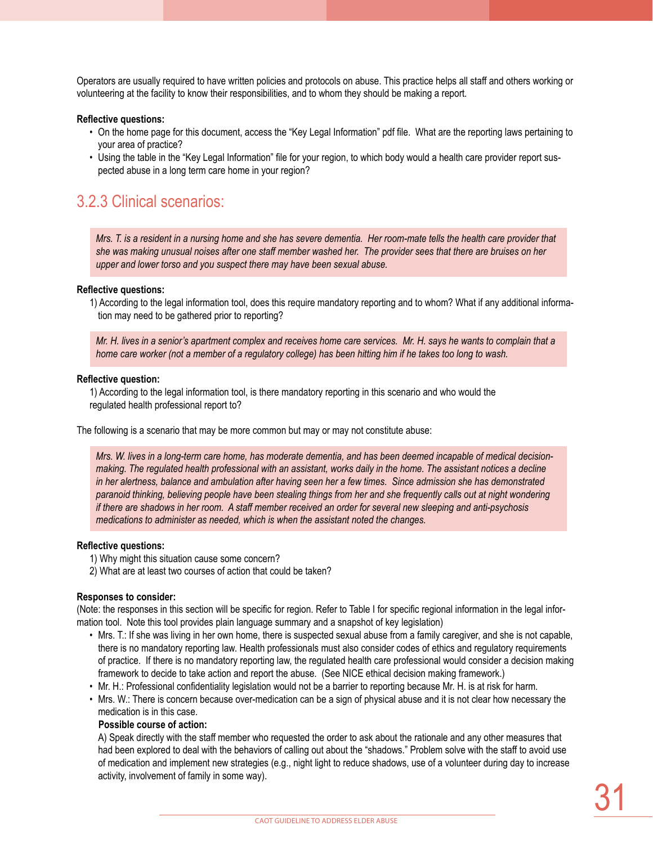Operators are usually required to have written policies and protocols on abuse. This practice helps all staff and others working or volunteering at the facility to know their responsibilities, and to whom they should be making a report.

#### **Reflective questions:**

- On the home page for this document, access the "Key Legal Information" pdf file. What are the reporting laws pertaining to your area of practice?
- Using the table in the "Key Legal Information" file for your region, to which body would a health care provider report suspected abuse in a long term care home in your region?

### 3.2.3 Clinical scenarios:

*Mrs. T. is a resident in a nursing home and she has severe dementia. Her room-mate tells the health care provider that she was making unusual noises after one staff member washed her. The provider sees that there are bruises on her upper and lower torso and you suspect there may have been sexual abuse.* 

#### **Reflective questions:**

1) According to the legal information tool, does this require mandatory reporting and to whom? What if any additional information may need to be gathered prior to reporting?

*Mr. H. lives in a senior's apartment complex and receives home care services. Mr. H. says he wants to complain that a home care worker (not a member of a regulatory college) has been hitting him if he takes too long to wash.* 

#### **Reflective question:**

1) According to the legal information tool, is there mandatory reporting in this scenario and who would the regulated health professional report to?

The following is a scenario that may be more common but may or may not constitute abuse:

*Mrs. W. lives in a long-term care home, has moderate dementia, and has been deemed incapable of medical decisionmaking. The regulated health professional with an assistant, works daily in the home. The assistant notices a decline in her alertness, balance and ambulation after having seen her a few times. Since admission she has demonstrated paranoid thinking, believing people have been stealing things from her and she frequently calls out at night wondering if there are shadows in her room. A staff member received an order for several new sleeping and anti-psychosis medications to administer as needed, which is when the assistant noted the changes.* 

#### **Reflective questions:**

- 1) Why might this situation cause some concern?
- 2) What are at least two courses of action that could be taken?

#### **Responses to consider:**

(Note: the responses in this section will be specific for region. Refer to Table I for specific regional information in the legal information tool. Note this tool provides plain language summary and a snapshot of key legislation)

- Mrs. T.: If she was living in her own home, there is suspected sexual abuse from a family caregiver, and she is not capable, there is no mandatory reporting law. Health professionals must also consider codes of ethics and regulatory requirements of practice. If there is no mandatory reporting law, the regulated health care professional would consider a decision making framework to decide to take action and report the abuse. (See NICE ethical decision making framework.)
- Mr. H.: Professional confidentiality legislation would not be a barrier to reporting because Mr. H. is at risk for harm.
- Mrs. W.: There is concern because over-medication can be a sign of physical abuse and it is not clear how necessary the medication is in this case.

### **Possible course of action:**

A) Speak directly with the staff member who requested the order to ask about the rationale and any other measures that had been explored to deal with the behaviors of calling out about the "shadows." Problem solve with the staff to avoid use of medication and implement new strategies (e.g., night light to reduce shadows, use of a volunteer during day to increase activity, involvement of family in some way).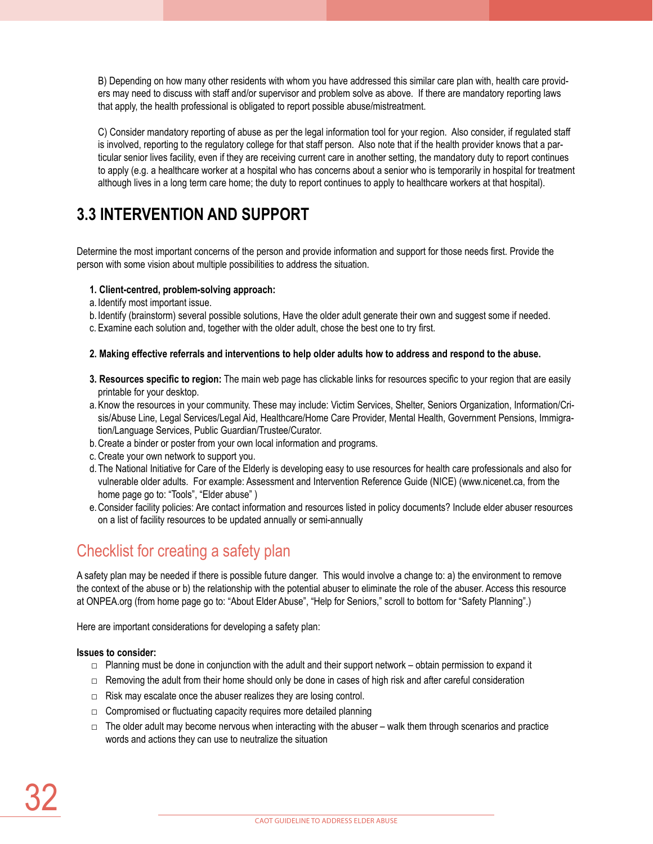B) Depending on how many other residents with whom you have addressed this similar care plan with, health care providers may need to discuss with staff and/or supervisor and problem solve as above. If there are mandatory reporting laws that apply, the health professional is obligated to report possible abuse/mistreatment.

C) Consider mandatory reporting of abuse as per the legal information tool for your region. Also consider, if regulated staff is involved, reporting to the regulatory college for that staff person. Also note that if the health provider knows that a particular senior lives facility, even if they are receiving current care in another setting, the mandatory duty to report continues to apply (e.g. a healthcare worker at a hospital who has concerns about a senior who is temporarily in hospital for treatment although lives in a long term care home; the duty to report continues to apply to healthcare workers at that hospital).

## **3.3 Intervention and support**

Determine the most important concerns of the person and provide information and support for those needs first. Provide the person with some vision about multiple possibilities to address the situation.

### **1. Client-centred, problem-solving approach:**

- a. Identify most important issue.
- b. Identify (brainstorm) several possible solutions, Have the older adult generate their own and suggest some if needed.
- c. Examine each solution and, together with the older adult, chose the best one to try first.

#### **2. Making effective referrals and interventions to help older adults how to address and respond to the abuse.**

- **3. Resources specific to region:** The main web page has clickable links for resources specific to your region that are easily printable for your desktop.
- a.Know the resources in your community. These may include: Victim Services, Shelter, Seniors Organization, Information/Crisis/Abuse Line, Legal Services/Legal Aid, Healthcare/Home Care Provider, Mental Health, Government Pensions, Immigration/Language Services, Public Guardian/Trustee/Curator.
- b.Create a binder or poster from your own local information and programs.
- c. Create your own network to support you.
- d.The National Initiative for Care of the Elderly is developing easy to use resources for health care professionals and also for vulnerable older adults. For example: Assessment and Intervention Reference Guide (NICE) (www.nicenet.ca, from the home page go to: "Tools", "Elder abuse" )
- e.Consider facility policies: Are contact information and resources listed in policy documents? Include elder abuser resources on a list of facility resources to be updated annually or semi-annually

### Checklist for creating a safety plan

A safety plan may be needed if there is possible future danger. This would involve a change to: a) the environment to remove the context of the abuse or b) the relationship with the potential abuser to eliminate the role of the abuser. Access this resource at ONPEA.org (from home page go to: "About Elder Abuse", "Help for Seniors," scroll to bottom for "Safety Planning".)

Here are important considerations for developing a safety plan:

### **Issues to consider:**

- $\Box$  Planning must be done in conjunction with the adult and their support network obtain permission to expand it
- □ Removing the adult from their home should only be done in cases of high risk and after careful consideration
- $\Box$  Risk may escalate once the abuser realizes they are losing control.
- $\Box$  Compromised or fluctuating capacity requires more detailed planning
- $\Box$  The older adult may become nervous when interacting with the abuser walk them through scenarios and practice words and actions they can use to neutralize the situation